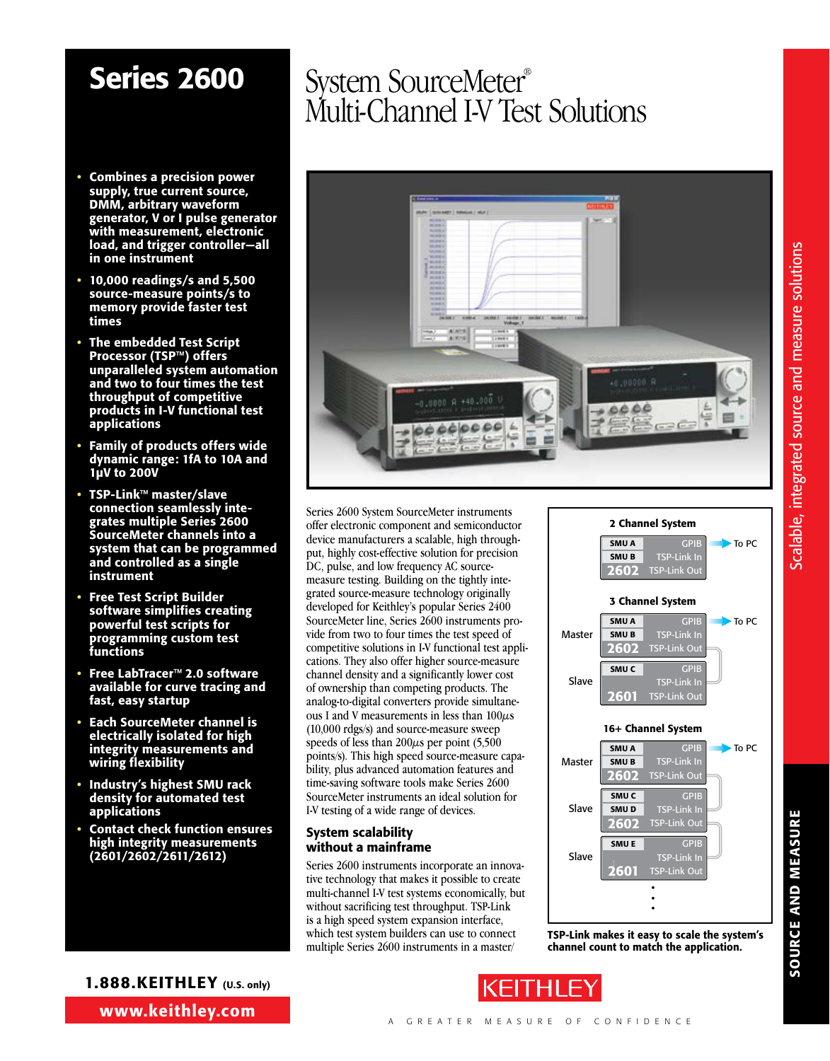# Scalable, integrated source and measure solutions Scalable, integrated source and measure solutions

SOURCE AND MEASURE

**SOURCE AND MEASURE** 

- Combines a precision power supply, true current source, DMM, arbitrary waveform generator, V or I pulse generator with measurement, electronic load, and trigger controller—all in one instrument
- 10,000 readings/s and 5,500 source-measure points/s to memory provide faster test times
- The embedded Test Script Processor (TSP™) offers unparalleled system automation and two to four times the test throughput of competitive products in I-V functional test applications
- Family of products offers wide dynamic range: 1fA to 10A and 1µV to 200V
- TSP-Link™ master/slave connection seamlessly integrates multiple Series 2600 SourceMeter channels into a system that can be programmed and controlled as a single instrument
- Free Test Script Builder software simplifies creating powerful test scripts for programming custom test functions
- Free LabTracer™ 2.0 software available for curve tracing and fast, easy startup
- Each SourceMeter channel is electrically isolated for high integrity measurements and wiring flexibility
- Industry's highest SMU rack density for automated test applications
- Contact check function ensures high integrity measurements (2601/2602/2611/2612)

### Series 2600 System SourceMeter® Multi-Channel I-V Test Solutions



Series 2600 System SourceMeter instruments offer electronic component and semiconductor device manufacturers a scalable, high throughput, highly cost-effective solution for precision DC, pulse, and low frequency AC sourcemeasure testing. Building on the tightly integrated source-measure technology originally developed for Keithley's popular Series 2400 SourceMeter line, Series 2600 instruments provide from two to four times the test speed of competitive solutions in I-V functional test applications. They also offer higher source-measure channel density and a significantly lower cost of ownership than competing products. The analog-to-digital converters provide simultaneous I and V measurements in less than  $100\mu s$ (10,000 rdgs/s) and source-measure sweep speeds of less than  $200\mu s$  per point (5,500) points/s). This high speed source-measure capability, plus advanced automation features and time-saving software tools make Series 2600 SourceMeter instruments an ideal solution for I-V testing of a wide range of devices.

#### System scalability without a mainframe

Series 2600 instruments incorporate an innovative technology that makes it possible to create multi-channel I-V test systems economically, but without sacrificing test throughput. TSP-Link is a high speed system expansion interface, which test system builders can use to connect multiple Series 2600 instruments in a master/





•



www.keithley.com 1.888.KEITHLEY (U.S. only)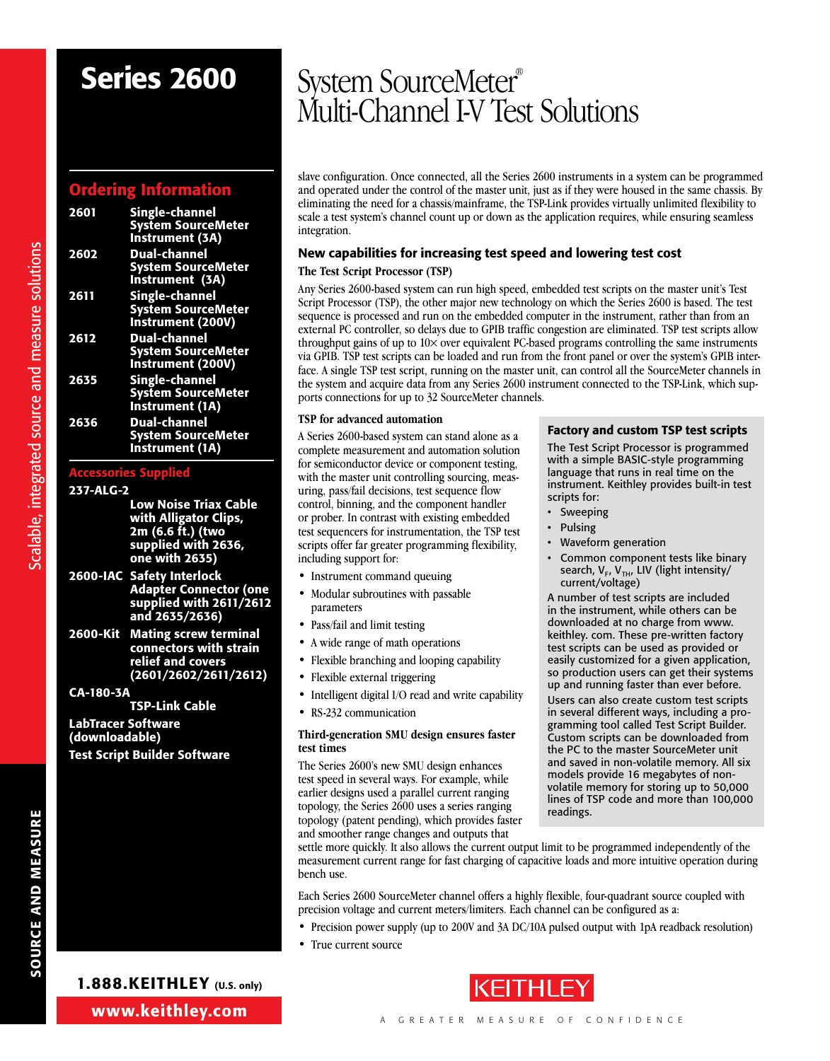#### Ordering Information

| 2601 | <b>Single-channel</b><br><b>System SourceMeter</b><br>Instrument (3A)          |
|------|--------------------------------------------------------------------------------|
| 2602 | Dual-channel<br><b>System SourceMeter</b><br>Instrument (3A)                   |
| 2611 | <b>Single-channel</b><br><b>System SourceMeter</b><br><b>Instrument (200V)</b> |
| 2612 | <b>Dual-channel</b><br><b>System SourceMeter</b><br>Instrument (200V)          |
| 2635 | Single-channel<br><b>System SourceMeter</b><br>Instrument (1A)                 |
| 2636 | <b>Dual-channel</b><br><b>System SourceMeter</b><br>Instrument (1A)            |

#### Accessories Supplied

#### 237-ALG-2

Scalable, integrated source and measure solutions

- Low Noise Triax Cable with Alligator Clips, 2m (6.6 ft.) (two supplied with 2636, one with 2635)
- 2600-IAC Safety Interlock Adapter Connector (one supplied with 2611/2612 and 2635/2636)
- 2600-Kit Mating screw terminal connectors with strain relief and covers (2601/2602/2611/2612)

CA-180-3A TSP-Link Cable

LabTracer Software (downloadable) Test Script Builder Software

### Series 2600 System SourceMeter® Multi-Channel I-V Test Solutions

slave configuration. Once connected, all the Series 2600 instruments in a system can be programmed and operated under the control of the master unit, just as if they were housed in the same chassis. By eliminating the need for a chassis/mainframe, the TSP-Link provides virtually unlimited flexibility to scale a test system's channel count up or down as the application requires, while ensuring seamless integration.

#### New capabilities for increasing test speed and lowering test cost

#### **The Test Script Processor (TSP)**

Any Series 2600-based system can run high speed, embedded test scripts on the master unit's Test Script Processor (TSP), the other major new technology on which the Series 2600 is based. The test sequence is processed and run on the embedded computer in the instrument, rather than from an external PC controller, so delays due to GPIB traffic congestion are eliminated. TSP test scripts allow throughput gains of up to 10× over equivalent PC-based programs controlling the same instruments via GPIB. TSP test scripts can be loaded and run from the front panel or over the system's GPIB interface. A single TSP test script, running on the master unit, can control all the SourceMeter channels in the system and acquire data from any Series 2600 instrument connected to the TSP-Link, which supports connections for up to 32 SourceMeter channels.

> scripts for: • Sweeping **Pulsing**

> > Waveform generation

current/voltage)

Factory and custom TSP test scripts The Test Script Processor is programmed with a simple BASIC-style programming language that runs in real time on the instrument. Keithley provides built-in test

Common component tests like binary search,  $V_F$ ,  $V_{TH}$ , LIV (light intensity/

A number of test scripts are included in the instrument, while others can be downloaded at no charge from www. keithley. com. These pre-written factory test scripts can be used as provided or easily customized for a given application, so production users can get their systems up and running faster than ever before. Users can also create custom test scripts in several different ways, including a programming tool called Test Script Builder. Custom scripts can be downloaded from the PC to the master SourceMeter unit and saved in non-volatile memory. All six models provide 16 megabytes of nonvolatile memory for storing up to 50,000 lines of TSP code and more than 100,000

#### **TSP for advanced automation**

A Series 2600-based system can stand alone as a complete measurement and automation solution for semiconductor device or component testing, with the master unit controlling sourcing, measuring, pass/fail decisions, test sequence flow control, binning, and the component handler or prober. In contrast with existing embedded test sequencers for instrumentation, the TSP test scripts offer far greater programming flexibility, including support for:

- Instrument command queuing
- Modular subroutines with passable parameters
- Pass/fail and limit testing
- A wide range of math operations
- Flexible branching and looping capability
- Flexible external triggering
- Intelligent digital I/O read and write capability
- RS-232 communication

#### **Third-generation SMU design ensures faster test times**

The Series 2600's new SMU design enhances test speed in several ways. For example, while earlier designs used a parallel current ranging topology, the Series 2600 uses a series ranging topology (patent pending), which provides faster and smoother range changes and outputs that

#### settle more quickly. It also allows the current output limit to be programmed independently of the measurement current range for fast charging of capacitive loads and more intuitive operation during bench use.

readings.

Each Series 2600 SourceMeter channel offers a highly flexible, four-quadrant source coupled with precision voltage and current meters/limiters. Each channel can be configured as a:

- Precision power supply (up to 200V and 3A DC/10A pulsed output with 1pA readback resolution)
- True current source

SOURCE AND MEASURE **Solutions** Scalable, integrated source and measure solutions **SOURCE AND MEASURE** 



1.888.KEITHLEY (U.S. only)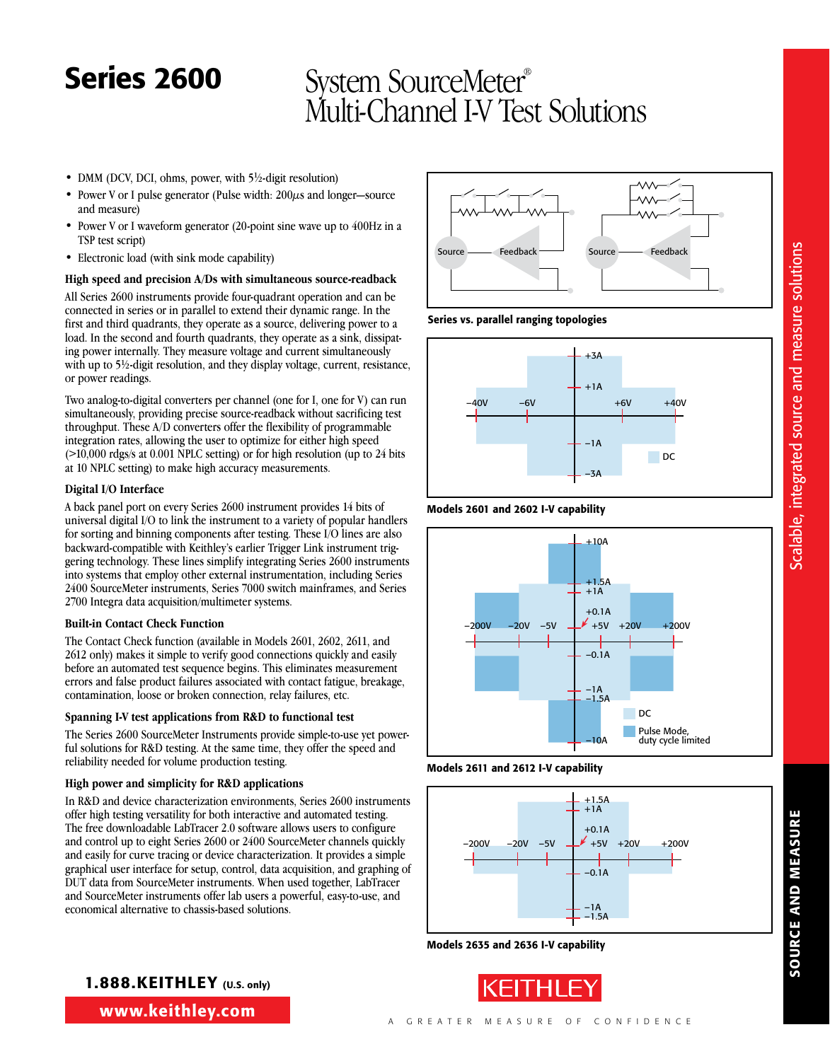- DMM (DCV, DCI, ohms, power, with 5½-digit resolution)
- Power V or I pulse generator (Pulse width:  $200\mu s$  and longer—source and measure)
- Power V or I waveform generator (20-point sine wave up to 400Hz in a TSP test script)
- Electronic load (with sink mode capability)

#### **High speed and precision A/Ds with simultaneous source-readback**

All Series 2600 instruments provide four-quadrant operation and can be connected in series or in parallel to extend their dynamic range. In the first and third quadrants, they operate as a source, delivering power to a load. In the second and fourth quadrants, they operate as a sink, dissipating power internally. They measure voltage and current simultaneously with up to 5<sup>1/2</sup>-digit resolution, and they display voltage, current, resistance, or power readings.

Two analog-to-digital converters per channel (one for I, one for V) can run simultaneously, providing precise source-readback without sacrificing test throughput. These A/D converters offer the flexibility of programmable integration rates, allowing the user to optimize for either high speed (>10,000 rdgs/s at 0.001 NPLC setting) or for high resolution (up to 24 bits at 10 NPLC setting) to make high accuracy measurements.

#### **Digital I/O Interface**

A back panel port on every Series 2600 instrument provides 14 bits of universal digital I/O to link the instrument to a variety of popular handlers for sorting and binning components after testing. These I/O lines are also backward-compatible with Keithley's earlier Trigger Link instrument triggering technology. These lines simplify integrating Series 2600 instruments into systems that employ other external instrumentation, including Series 2400 SourceMeter instruments, Series 7000 switch mainframes, and Series 2700 Integra data acquisition/multimeter systems.

#### **Built-in Contact Check Function**

The Contact Check function (available in Models 2601, 2602, 2611, and 2612 only) makes it simple to verify good connections quickly and easily before an automated test sequence begins. This eliminates measurement errors and false product failures associated with contact fatigue, breakage, contamination, loose or broken connection, relay failures, etc.

#### **Spanning I-V test applications from R&D to functional test**

The Series 2600 SourceMeter Instruments provide simple-to-use yet powerful solutions for R&D testing. At the same time, they offer the speed and reliability needed for volume production testing.

#### **High power and simplicity for R&D applications**

In R&D and device characterization environments, Series 2600 instruments offer high testing versatility for both interactive and automated testing. The free downloadable LabTracer 2.0 software allows users to configure and control up to eight Series 2600 or 2400 SourceMeter channels quickly and easily for curve tracing or device characterization. It provides a simple graphical user interface for setup, control, data acquisition, and graphing of DUT data from SourceMeter instruments. When used together, LabTracer and SourceMeter instruments offer lab users a powerful, easy-to-use, and economical alternative to chassis-based solutions.



#### Series vs. parallel ranging topologies



#### Models 2601 and 2602 I-V capability







Models 2635 and 2636 I-V capability



**SOURCE AND MEASURE** SOURCE AND MEASURE

www.keithley.com 1.888.KEITHLEY (U.S. only)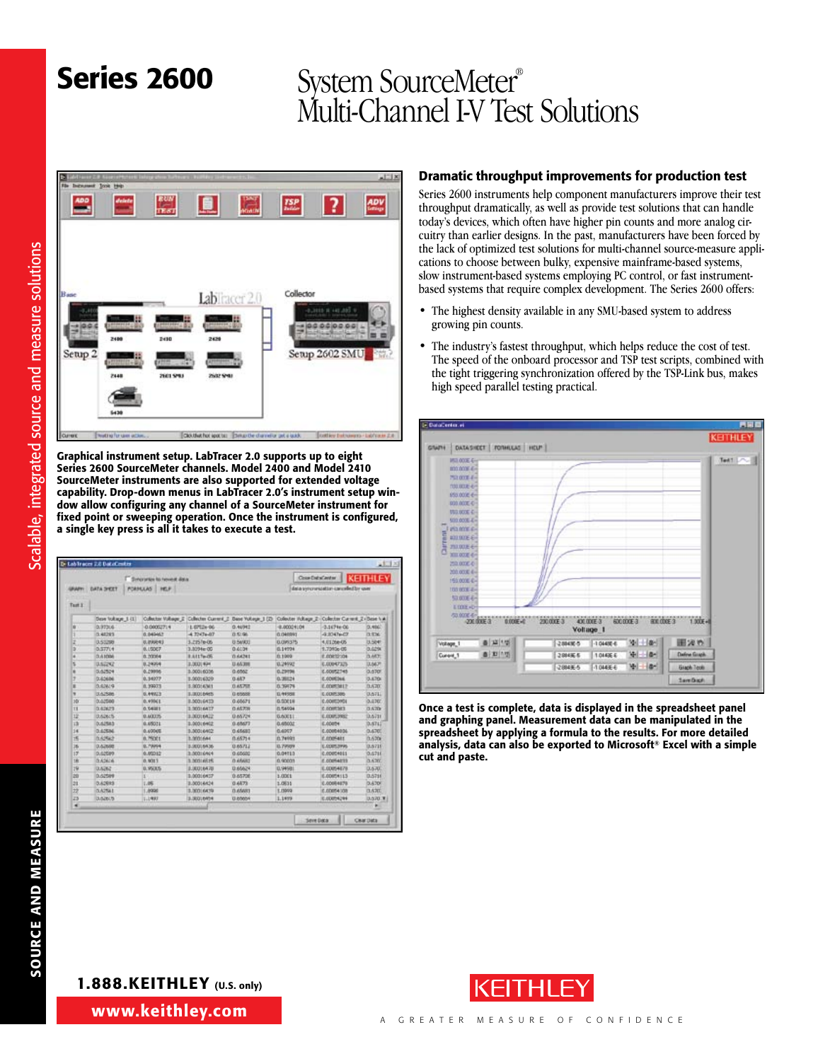

Graphical instrument setup. LabTracer 2.0 supports up to eight Series 2600 SourceMeter channels. Model 2400 and Model 2410 SourceMeter instruments are also supported for extended voltage capability. Drop-down menus in LabTracer 2.0's instrument setup window allow configuring any channel of a SourceMeter instrument for fixed point or sweeping operation. Once the instrument is configured, a single key press is all it takes to execute a test.

|               |                    | Syntromes to reveal data |                  |                                          | Cose-DataCanter |                                                    | <b>KEITHLEY</b>  |
|---------------|--------------------|--------------------------|------------------|------------------------------------------|-----------------|----------------------------------------------------|------------------|
| <b>URAAPH</b> | DATA SYEET         | PORMULAS INC.F.          |                  |                                          |                 | data syncretation canceled by user                 |                  |
|               |                    |                          |                  |                                          |                 |                                                    |                  |
| Turt 1        |                    |                          |                  |                                          |                 |                                                    |                  |
|               | Days Voltage 1-111 | Culterior Voltage II     |                  | Collector Current, 2. Dane Yukaya: 1 (2) |                 | Colecter Voltage 2 - Colecter Current 2 - Base 1 A |                  |
| w             | 0.97306            | 0.00001714               | LEP12x-06        | 0.46942                                  | $-0.00024104$   | $-3.1674 + 06$                                     | 0.460            |
|               | 0.48293            | 0.045457                 | $-4.7247 + 0.07$ | 13.57.06                                 | 0.040993        | $-4.0047 + 0.7$                                    | 29.936           |
| z             | 0.53298            | U.PAR43                  | 3.7357606        | U.SeVICE                                 | 0.09375         | 4.0126e-05                                         | 13,5041          |
|               | 0.37714            | 0.15067                  | 3.3094er00       | 0.6034                                   | 0.14794         | 9.7090p 06                                         | 0.0294           |
|               | 0.41006            | 0.20264                  | 8.4117e-05       | 0.66241                                  | 811009          | E.00832104                                         | D.ART.           |
|               | 0.52292            | 0.24994                  | 3.000 (494)      | 13,65,338                                | 0.24992         | 6,00047325                                         | D.6471           |
|               | 0.62524            | 0.29996                  | 3-300:6036       | 0.6562                                   | 0.29796         | E.00092745                                         | 0.670            |
|               | 0.63606            | 0.34277                  | 3.00016329       | 0.687                                    | 0.39234         | <b>E.ODIRDAK</b>                                   | 0.670            |
| ٠             | 0.62629            | 8,99973                  | 3.90016341       | 0.6570                                   | 0.39776         | <b>E CORTALLY</b>                                  | 0.670            |
| ٠             | <b>DAZSIN</b>      | 0.44923                  | 1.00016445       | <b>G energy</b>                          | 0.44558         | E COVE 506                                         | DATE             |
| iti           | 0.02500            | 0.49941                  | 2.00016433       | 0.65671                                  | 0.53018         | E.000EDHOL                                         | 0.470            |
| n             | 0.62623            | 0.54311                  | 3.30016437       | 0.65709                                  | EL 54034        | <b>C.COMTACT</b>                                   | 0.670            |
| 12            | 0,62615            | <b>0.40035</b>           | 3.30016422       | 0.65724                                  | <b>DAXEL</b>    | E.00053982                                         | 13.6731          |
| iä            | 0.62583            | 0.05071                  | 1.00016402       | 0.65677                                  | 0.45002         | E.00074                                            | D.6742           |
| is            | 0.625M             | 0.4000E                  | 3,30016402       | 0.45480                                  | 0.4057          | 0.0009034                                          | 0.4707           |
| 15            | <b>DA2562</b>      | <b>B.75001</b>           | 3.3001644        | 0.65714                                  | <b>D.74991</b>  | <b>C.ODIFARE</b>                                   | <b>DA206</b>     |
| 16            | D.AZMAR            | 0.79994                  | 3.90016436       | 12/14/02                                 | <b>IL 79509</b> | E.CORE.IVAS                                        | 13,571           |
| 17'           | 0.62689            | 0.00032                  | 3.00016964       | 0.65600                                  | 0.04713         | 0.00004011                                         | 0.6746           |
| 180           | 0.62626            | 0.9313                   | 3.00016615       | D.MAID                                   | tù richitatti   | E.COMAINS                                          | 0.630            |
| 19            | 0.6262             | 0.953.5                  | 3,00016470       | 12:65624                                 | 0.94981         | E.00054E78                                         | 0.670            |
| 20            | 0.02589            |                          | 3.00016437       | 905708                                   | 1,0001          | E.00054113                                         | 0.5716           |
| эx            | 0.62693            | 1.05                     | 3.00016/624      | 0.6573                                   | 1.0811          | E.00084E78                                         | 0.670            |
| 22            | DATEL!             | 1,6990                   | 3,00016439       | 0.65683                                  | 1,0000          | £,00054108                                         | 3.620            |
| 23            | 3,62615            | 江上州间                     | 3.300,6454       | U-65654                                  | 1.1499          | E.00054294                                         | <b>U.S.70 W.</b> |
| ٠             |                    |                          |                  |                                          |                 |                                                    | ٠                |

#### Dramatic throughput improvements for production test

Series 2600 instruments help component manufacturers improve their test throughput dramatically, as well as provide test solutions that can handle today's devices, which often have higher pin counts and more analog circuitry than earlier designs. In the past, manufacturers have been forced by the lack of optimized test solutions for multi-channel source-measure applications to choose between bulky, expensive mainframe-based systems, slow instrument-based systems employing PC control, or fast instrumentbased systems that require complex development. The Series 2600 offers:

- The highest density available in any SMU-based system to address growing pin counts.
- The industry's fastest throughput, which helps reduce the cost of test. The speed of the onboard processor and TSP test scripts, combined with the tight triggering synchronization offered by the TSP-Link bus, makes high speed parallel testing practical.



Once a test is complete, data is displayed in the spreadsheet panel and graphing panel. Measurement data can be manipulated in the spreadsheet by applying a formula to the results. For more detailed analysis, data can also be exported to Microsoft® Excel with a simple cut and paste.

#### 1.888.KEITHLEY (U.S. only)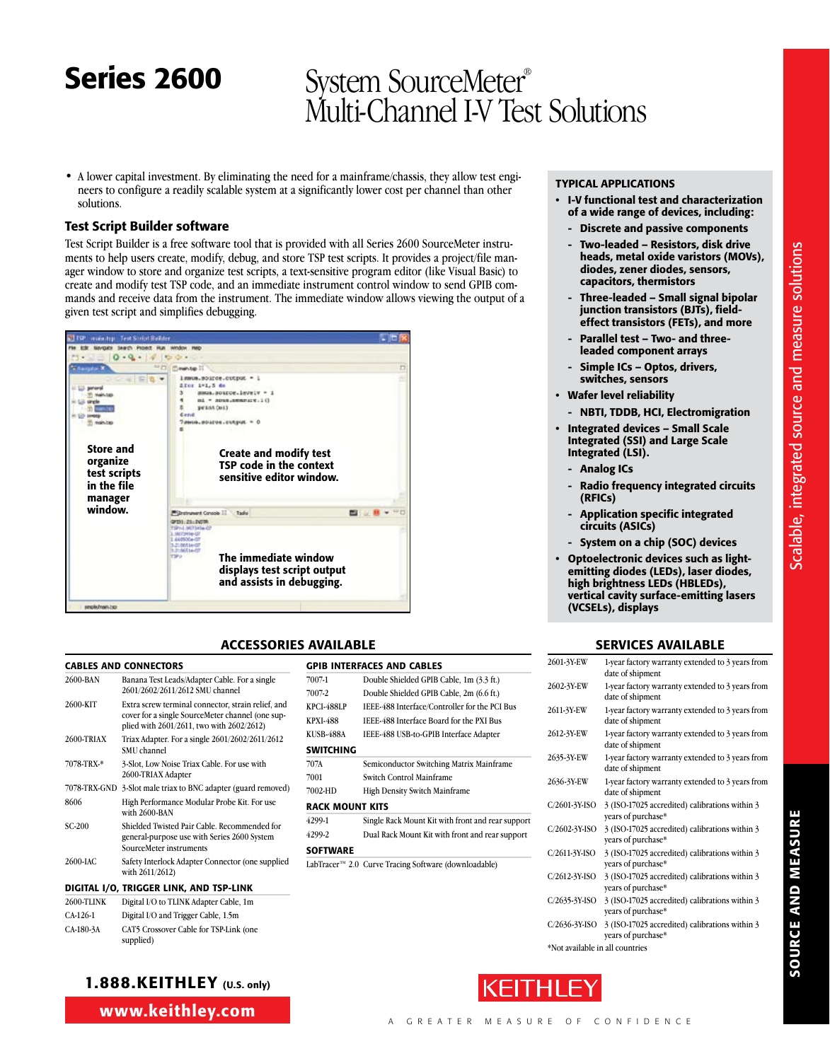• A lower capital investment. By eliminating the need for a mainframe/chassis, they allow test engineers to configure a readily scalable system at a significantly lower cost per channel than other solutions.

#### Test Script Builder software

Test Script Builder is a free software tool that is provided with all Series 2600 SourceMeter instruments to help users create, modify, debug, and store TSP test scripts. It provides a project/file manager window to store and organize test scripts, a text-sensitive program editor (like Visual Basic) to create and modify test TSP code, and an immediate instrument control window to send GPIB commands and receive data from the instrument. The immediate window allows viewing the output of a given test script and simplifies debugging.



#### ACCESSORIES AVAILABLE

**SWITCHING** 

**SOFTWARE** 

Rack Mount Kits

GPIB Interfaces and Cables

7001 Switch Control Mainframe 7002-HD High Density Switch Mainframe

7007-1 Double Shielded GPIB Cable, 1m (3.3 ft.) 7007-2 Double Shielded GPIB Cable, 2m (6.6 ft.) KPCI-488LP IEEE-488 Interface/Controller for the PCI Bus KPXI-488 IEEE-488 Interface Board for the PXI Bus KUSB-488A IEEE-488 USB-to-GPIB Interface Adapter

707A Semiconductor Switching Matrix Mainframe

4299-1 Single Rack Mount Kit with front and rear support 4299-2 Dual Rack Mount Kit with front and rear support

LabTracer™ 2.0 Curve Tracing Software (downloadable)

#### Cables and Connectors

| 2600-BAN          | Banana Test Leads/Adapter Cable. For a single<br>2601/2602/2611/2612 SMU channel                                                                    |
|-------------------|-----------------------------------------------------------------------------------------------------------------------------------------------------|
| 2600-KIT          | Extra screw terminal connector, strain relief, and<br>cover for a single SourceMeter channel (one sup-<br>plied with 2601/2611, two with 2602/2612) |
| <b>2600-TRIAX</b> | Triax Adapter. For a single 2601/2602/2611/2612<br>SMU channel                                                                                      |
| 7078-TRX-*        | 3-Slot, Low Noise Triax Cable. For use with<br>2600-TRIAX Adapter                                                                                   |
| 7078-TRX-GND      | 3-Slot male triax to BNC adapter (guard removed)                                                                                                    |
| 8606              | High Performance Modular Probe Kit. For use<br>with 2600-BAN                                                                                        |
| $SC-200$          | Shielded Twisted Pair Cable. Recommended for<br>general-purpose use with Series 2600 System<br>SourceMeter instruments                              |
| 2600-JAC          | Safety Interlock Adapter Connector (one supplied<br>with 2611/2612)                                                                                 |
|                   | DIGITAL I/O, TRIGGER LINK, AND TSP-LINK                                                                                                             |

| <b>2600-TLINK</b> | Digital I/O to TLINK Adapter Cable, 1m              |  |
|-------------------|-----------------------------------------------------|--|
| $CA-126-1$        | Digital I/O and Trigger Cable, 1.5m                 |  |
| CA-180-3A         | CAT5 Crossover Cable for TSP-Link (one<br>supplied) |  |

#### 1.888.KEITHLEY (U.S. only)

www.keithley.com

#### Typical Applications

- • I-V functional test and characterization of a wide range of devices, including:
	- Discrete and passive components
	- Two-leaded Resistors, disk drive heads, metal oxide varistors (MOVs), diodes, zener diodes, sensors, capacitors, thermistors
	- Three-leaded Small signal bipolar junction transistors (BJTs), fieldeffect transistors (FETs), and more
- Parallel test Two- and threeleaded component arrays
- Simple ICs Optos, drivers, switches, sensors
- • Wafer level reliability
	- NBTI, TDDB, HCI, Electromigration
- • Integrated devices Small Scale Integrated (SSI) and Large Scale Integrated (LSI).
	- Analog ICs
- Radio frequency integrated circuits (RFICs)
- Application specific integrated circuits (ASICs)
	- System on a chip (SOC) devices
- • Optoelectronic devices such as lightemitting diodes (LEDs), laser diodes, high brightness LEDs (HBLEDs), vertical cavity surface-emitting lasers (VCSELs), displays

#### SERVICES AVAILABLE

| 2601-3Y-EW                      | 1-year factory warranty extended to 3 years from<br>date of shipment |
|---------------------------------|----------------------------------------------------------------------|
| 2602-3Y EW                      | 1-year factory warranty extended to 3 years from<br>date of shipment |
| 2611-3Y-EW                      | 1-year factory warranty extended to 3 years from<br>date of shipment |
| 2612-3Y-EW                      | 1-year factory warranty extended to 3 years from<br>date of shipment |
| 2635-3Y-EW                      | 1-year factory warranty extended to 3 years from<br>date of shipment |
| 2636-3Y-EW                      | 1-year factory warranty extended to 3 years from<br>date of shipment |
| C/2601-3Y-ISO                   | 3 (ISO-17025 accredited) calibrations within 3<br>years of purchase* |
| C/2602-3Y-ISO                   | 3 (ISO-17025 accredited) calibrations within 3<br>vears of purchase* |
| C/2611-3Y-ISO                   | 3 (ISO-17025 accredited) calibrations within 3<br>years of purchase* |
| C/2612-3Y-ISO                   | 3 (ISO-17025 accredited) calibrations within 3<br>vears of purchase* |
| C/2635-3Y-ISO                   | 3 (ISO-17025 accredited) calibrations within 3<br>years of purchase* |
| C/2636-3Y-ISO                   | 3 (ISO-17025 accredited) calibrations within 3<br>years of purchase* |
| *Not available in all countries |                                                                      |

\*Not available in all countries



Scalable, integrated source and measure solutions

Scalable, integrated source and measure solutions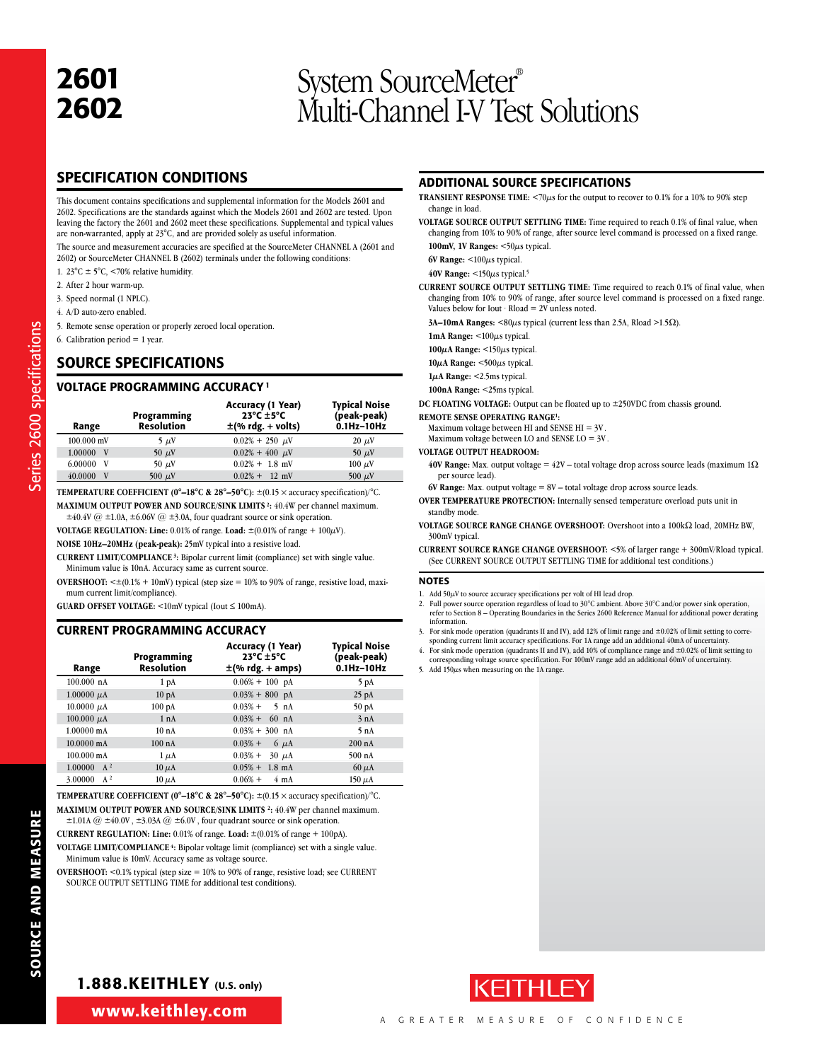### **2601** System SourceMeter®<br>**2602** Multi-Channel LV Tes Multi-Channel I-V Test Solutions

#### SPECIFICATION CONDITIONS

This document contains specifications and supplemental information for the Models 2601 and 2602. Specifications are the standards against which the Models 2601 and 2602 are tested. Upon leaving the factory the 2601 and 2602 meet these specifications. Supplemental and typical values are non-warranted, apply at 23°C, and are provided solely as useful information.

The source and measurement accuracies are specified at the SourceMeter CHANNEL A (2601 and 2602) or SourceMeter CHANNEL B (2602) terminals under the following conditions:

- 1. 23 $\textdegree$ C  $\pm$  5 $\textdegree$ C, <70% relative humidity.
- 2. After 2 hour warm-up.
- 3. Speed normal (1 NPLC).
- 4. A/D auto-zero enabled.
- 5. Remote sense operation or properly zeroed local operation.
- 6. Calibration period  $= 1$  year.

Series 2600 specifications

Series 2600 specifications

#### SOURCE SPECIFICATIONS

#### VOLTAGE PROGRAMMING ACCURACY 1

| Range             | Programming<br><b>Resolution</b> | <b>Accuracy (1 Year)</b><br>$23^{\circ}$ C $\pm 5^{\circ}$ C<br>$\pm$ (% rdg. + volts) | <b>Typical Noise</b><br>(peak-peak)<br>$0.1$ Hz $-10$ Hz |
|-------------------|----------------------------------|----------------------------------------------------------------------------------------|----------------------------------------------------------|
| $100.000$ mV      | $5 \mu V$                        | $0.02\% + 250 \mu V$                                                                   | $20 \mu V$                                               |
| 1.00000 V         | 50 $\mu$ V                       | $0.02\% + 400 \mu V$                                                                   | 50 $\mu$ V                                               |
| $6.00000 \quad V$ | 50 $\mu$ V                       | $0.02\% + 1.8$ mV                                                                      | $100 \mu V$                                              |
| 40.0000<br>V      | 500 $\mu$ V                      | $0.02\% + 12$ mV                                                                       | 500 $\mu$ V                                              |

**TEMPERATURE COEFFICIENT (0°–18°C & 28°–50°C):**  $\pm$ (0.15  $\times$  accuracy specification)/°C. **MAXiMUM OUTPUT POWER AND SOURCE/SINK LIMITS 2:** 40.4W per channel maximum.

 $\pm 40.4V$  @  $\pm 1.0A$ ,  $\pm 6.06V$  @  $\pm 3.0A$ , four quadrant source or sink operation.

**VOLTAGE REGULATION: Line:** 0.01% of range. Load:  $\pm (0.01\% \text{ of range} + 100\mu\text{V})$ .

**NOISE 10Hz–20MHz (peak-peak):** 25mV typical into a resistive load.

**CURRENT LIMIT/COMPLIANCE 3:** Bipolar current limit (compliance) set with single value. Minimum value is 10nA. Accuracy same as current source.

**OVERSHOOT:** <±(0.1% + 10mV) typical (step size = 10% to 90% of range, resistive load, maximum current limit/compliance).

**GUARD OFFSET VOLTAGE:** <10mV typical (Iout ≤ 100mA).

#### CURRENT PROGRAMMING ACCURACY

| Range                 | Programming<br>Resolution | Accuracy (1 Year)<br>$23^{\circ}$ C $\pm$ 5°C<br>$\pm$ (% rdg. + amps) | <b>Typical Noise</b><br>(peak-peak)<br>$0.1$ Hz- $10$ Hz |
|-----------------------|---------------------------|------------------------------------------------------------------------|----------------------------------------------------------|
| 100.000 nA            | 1 pA                      | $0.06\% + 100$ pA                                                      | 5 pA                                                     |
| $1.00000 \mu A$       | 10 <sub>pA</sub>          | $0.03\% + 800$ pA                                                      | $25$ pA                                                  |
| 10.0000 $\mu$ A       | 100pA                     | $0.03% +$<br>$5$ nA                                                    | 50 pA                                                    |
| $100.000 \mu A$       | 1 nA                      | $0.03\% + 60$ nA                                                       | 3 nA                                                     |
| $1.00000 \text{ mA}$  | 10nA                      | $0.03\% + 300$ nA                                                      | 5nA                                                      |
| $10.0000 \text{ mA}$  | 100 nA                    | $0.03%$ +<br>$6 \mu A$                                                 | 200 nA                                                   |
| $100.000 \text{ mA}$  | $1 \mu A$                 | $0.03\% +$<br>$30 \mu A$                                               | $500 \text{ nA}$                                         |
| $1.00000 \text{ A}^2$ | $10 \mu A$                | $0.05\% + 1.8$ mA                                                      | $60 \mu A$                                               |
| 3.00000<br>$A^2$      | $10 \mu A$                | $0.06% +$<br>$4 \text{ mA}$                                            | $150 \mu A$                                              |

**TEMPERATURE COEFFICIENT (0°–18°C & 28°–50°C):**  $\pm$ (0.15  $\times$  accuracy specification)/°C. **MAXiMUM OUTPUT POWER AND SOURCE/SINK LIMITS 2:** 40.4W per channel maximum.  $\pm 1.01$ A @  $\pm 40.0$ V,  $\pm 3.03$ A @  $\pm 6.0$ V, four quadrant source or sink operation.

**CURRENT REGULATION: Line:** 0.01% of range. **Load:** ±(0.01% of range + 100pA).

**VOLTAGE LIMIT/COMPLIANCE 4:** Bipolar voltage limit (compliance) set with a single value. Minimum value is 10mV. Accuracy same as voltage source.

**OVERSHOOT:** <0.1% typical (step size = 10% to 90% of range, resistive load; see CURRENT SOURCE OUTPUT SETTLING TIME for additional test conditions).

#### ADDITIONAL SOURCE SPECIFICATIONS

- **TRANSIENT RESPONSE TIME:** <70µs for the output to recover to 0.1% for a 10% to 90% step change in load.
- **VOLTAGE SOURCE OUTPUT SETTLING TIME:** Time required to reach 0.1% of final value, when changing from 10% to 90% of range, after source level command is processed on a fixed range.

**100mV, 1V Ranges:** <50µs typical.

**6V Range:**  $\leq 100 \mu s$  typical.

 $40V$  Range:  $\leq 150 \mu s$  typical.<sup>5</sup>

**CURRENT SOURCE OUTPUT SETTLING TIME:** Time required to reach 0.1% of final value, when changing from 10% to 90% of range, after source level command is processed on a fixed range. Values below for Iout  $\cdot$  Rload = 2V unless noted.

**3A–10mA Ranges:**  $\leq 80\mu s$  typical (current less than 2.5A, Rload  $\geq 1.5\Omega$ ).

**1mA Range:** <100µs typical.

**100µA Range:** <150µs typical.

**10µA Range:** <500µs typical.

**1µA Range:** <2.5ms typical.

**100nA Range:** <25ms typical.

**DC FLOATING VOLTAGE:** Output can be floated up to ±250VDC from chassis ground.

**REMOTE SENSE OPERATING RANGE1:**

Maximum voltage between HI and SENSE HI = 3V .

Maximum voltage between LO and SENSE LO = 3V .

#### **VOLTAGE OUTPUT HEADROOM:**

**40V Range:** Max. output voltage =  $42V$  – total voltage drop across source leads (maximum  $1\Omega$ ) per source lead).

**6V Range:** Max. output voltage = 8V – total voltage drop across source leads.

- **OVER TEMPERATURE PROTECTION:** Internally sensed temperature overload puts unit in standby mode
- VOLTAGE SOURCE RANGE CHANGE OVERSHOOT: Overshoot into a 100kΩ load, 20MHz BW, 300mV typical.
- **CURRENT SOURCE RANGE CHANGE OVERSHOOT:** <5% of larger range + 300mV/Rload typical. (See CURRENT SOURCE OUTPUT SETTLING TIME for additional test conditions.)

#### **NOTES**

- 1. Add  $50\mu$ V to source accuracy specifications per volt of HI lead drop.
- 2. Full power source operation regardless of load to 30°C ambient. Above 30°C and/or power sink operation, refer to Section 8 – Operating Boundaries in the Series 2600 Reference Manual for additional power derating information.
- 3. For sink mode operation (quadrants II and IV), add 12% of limit range and ±0.02% of limit setting to corre-sponding current limit accuracy specifications. For 1A range add an additional 40mA of uncertainty.
- 4. For sink mode operation (quadrants II and IV), add 10% of compliance range and  $\pm 0.02$ % of limit setting to corresponding voltage source specification. For 100mV range add an additional 60mV of uncertainty.
- 5. Add 150 $\mu$ s when measuring on the 1A range.



#### 1.888.KEITHLEY (U.S. only)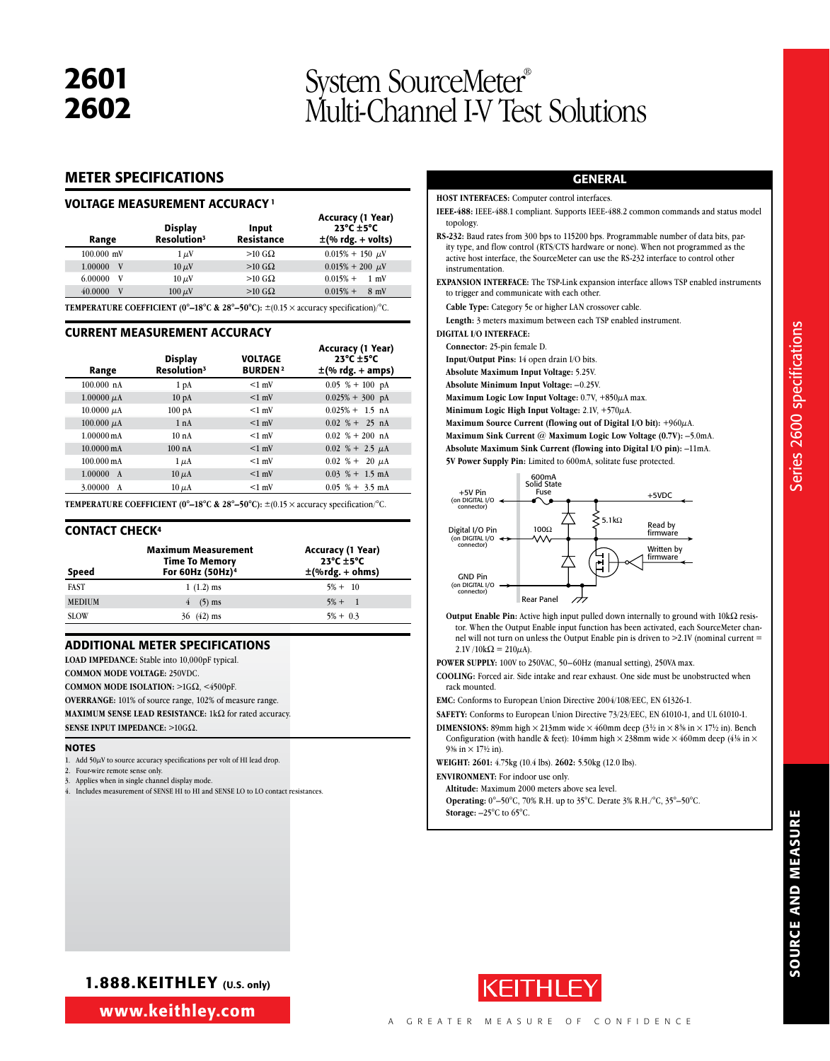# 2601 System SourceMeter®<br>2602 Multi-Channel I-V Test Solutions

#### METER SPECIFICATIONS

#### VOLTAGE MEASUREMENT ACCURACY 1

| Range                     | <b>Display</b><br>Resolution <sup>3</sup> | Input<br>Resistance | Accuracy (1 Year)<br>$23^{\circ}$ C $\pm$ 5°C<br>$\pm$ (% rdg. + volts)                                   |
|---------------------------|-------------------------------------------|---------------------|-----------------------------------------------------------------------------------------------------------|
| $100.000$ mV              | $1 \mu V$                                 | $>10$ G $\Omega$    | $0.015\% + 150 \mu$ V                                                                                     |
| 1.00000<br>V <sub>v</sub> | $10 \mu V$                                | $>10$ G $\Omega$    | $0.015\% + 200 \mu V$                                                                                     |
| 6.00000<br>V              | $10 \mu$ V                                | $>10$ G $\Omega$    | $0.015% +$<br>$1 \text{ mV}$                                                                              |
| 40.0000<br>V              | $100 \mu V$                               | $>10$ G $\Omega$    | $0.015% +$<br>$8 \text{ mV}$                                                                              |
|                           |                                           |                     | <b>TEMPERATURE COEFFICIENT (0°-18°C &amp; 28°-50°C):</b> $\pm$ (0.15 $\times$ accuracy specification)/°C. |

#### CURRENT MEASUREMENT ACCURACY

| Range                   | <b>Display</b><br>Resolution <sup>3</sup> | VOLTAGE<br><b>BURDEN<sup>2</sup></b> | Accuracy (1 Year)<br>$23^{\circ}$ C $\pm$ 5°C<br>$\pm$ (% rdg. + amps) |
|-------------------------|-------------------------------------------|--------------------------------------|------------------------------------------------------------------------|
| $100.000 \text{ nA}$    | 1 <sub>pA</sub>                           | $<1$ mV                              | $0.05$ % + 100 pA                                                      |
| 1.00000 $\mu$ A         | 10 <sub>pA</sub>                          | $<1$ mV                              | $0.025% + 300$ pA                                                      |
| $10.0000 \mu A$         | 100pA                                     | $<1$ mV                              | $0.025\% + 1.5$ nA                                                     |
| 100.000 $\mu$ A         | 1 nA                                      | $<1$ mV                              | $0.02 \% + 25 nA$                                                      |
| $1.00000 \,\mathrm{mA}$ | 10nA                                      | $<1$ mV                              | $0.02 \% + 200 nA$                                                     |
| $10.0000 \,\mathrm{mA}$ | $100$ nA                                  | $<1$ mV                              | $0.02~\% + 2.5~\mu\text{A}$                                            |
| $100.000 \text{ mA}$    | $1 \mu A$                                 | $<1$ mV                              | $0.02~\% + 20~\mu\text{A}$                                             |
| 1.00000<br>$\mathbf{A}$ | $10 \mu A$                                | $<1$ mV                              | $0.03\text{ %}+1.5\text{ mA}$                                          |
| 3.00000<br>A            | $10 \mu A$                                | $<1$ mV                              | $0.05\% + 3.5 \text{ mA}$                                              |

**TEMPERATURE COEFFICIENT (0°-18°C & 28°-50°C):**  $\pm$ (0.15  $\times$  accuracy specification/°C.

#### **CONTACT CHECK<sup>4</sup>**

| Speed         | <b>Maximum Measurement</b><br><b>Time To Memory</b><br>For 60Hz (50Hz) <sup>4</sup> | <b>Accuracy (1 Year)</b><br>$23^{\circ}$ C $\pm$ 5 $^{\circ}$ C<br>$\pm$ (%rdg. + ohms) |
|---------------|-------------------------------------------------------------------------------------|-----------------------------------------------------------------------------------------|
| <b>FAST</b>   | $1(1.2)$ ms                                                                         | $5\% + 10$                                                                              |
| <b>MEDIUM</b> | $(5)$ ms                                                                            | $5\% + 1$                                                                               |
| <b>SLOW</b>   | $(42)$ ms                                                                           | $5\% + 0.3$                                                                             |

#### ADDITIONAL METER SPECIFICATIONS

**LOAD IMPEDANCE:** Stable into 10,000pF typical.

**COMMON MODE VOLTAGE:** 250VDC.

**COMMON MODE ISOLATION: >1GΩ, <4500pF.** 

**OVERRANGE:** 101% of source range, 102% of measure range.

**MAXIMUM SENSE LEAD RESISTANCE:** 1kΩ for rated accuracy.

**SENSE INPUT IMPEDANCE: >10GO.** 

#### **NOTES**

1. Add  $50\mu$ V to source accuracy specifications per volt of HI lead drop.

Four-wire remote sense only. Applies when in single channel display mode.

4. Includes measurement of SENSE HI to HI and SENSE LO to LO contact resistances

#### GENERAL

**HOST INTERFACES:** Computer control interfaces.

**IEEE-488:** IEEE-488.1 compliant. Supports IEEE-488.2 common commands and status model topology.

**RS-232:** Baud rates from 300 bps to 115200 bps. Programmable number of data bits, parity type, and flow control (RTS/CTS hardware or none). When not programmed as the active host interface, the SourceMeter can use the RS-232 interface to control other instrumentation.

**EXPANSION INTERFACE:** The TSP-Link expansion interface allows TSP enabled instruments to trigger and communicate with each other.

**Cable Type:** Category 5e or higher LAN crossover cable.

**Length:** 3 meters maximum between each TSP enabled instrument.

**DIGITAL I/O INTERFACE:**

**Connector:** 25-pin female D.

**Input/Output Pins:** 14 open drain I/O bits.

**Absolute Maximum Input Voltage:** 5.25V.

**Absolute Minimum Input Voltage:** –0.25V.

**Maximum Logic Low Input Voltage:** 0.7V, +850µA max.

**Minimum Logic High Input Voltage:** 2.1V, +570µA.

**Maximum Source Current (flowing out of Digital I/O bit):** +960µA.

**Maximum Sink Current @ Maximum Logic Low Voltage (0.7V):** –5.0mA. **Absolute Maximum Sink Current (flowing into Digital I/O pin):** –11mA.

**5V Power Supply Pin:** Limited to 600mA, solitate fuse protected.



**Output Enable Pin:** Active high input pulled down internally to ground with  $10k\Omega$  resistor. When the Output Enable input function has been activated, each SourceMeter channel will not turn on unless the Output Enable pin is driven to >2.1V (nominal current =  $2.1V / 10k\Omega = 210 \mu A$ ).

**POWER SUPPLY:** 100V to 250VAC, 50–60Hz (manual setting), 250VA max.

**COOLING:** Forced air. Side intake and rear exhaust. One side must be unobstructed when rack mounted.

**EMC:** Conforms to European Union Directive 2004/108/EEC, EN 61326-1.

**SAFETY:** Conforms to European Union Directive 73/23/EEC, EN 61010-1, and UL 61010-1.

**DIMENSIONS:** 89mm high  $\times$  213mm wide  $\times$  460mm deep (3<sup>1</sup>/2 in  $\times$  8<sup>3</sup>/8 in  $\times$  17<sup>1</sup>/2 in). Bench Configuration (with handle & feet): 104mm high  $\times$  238mm wide  $\times$  460mm deep (41/8 in  $\times$  $9\%$  in  $\times$  17½ in).

**WEIGHT: 2601:** 4.75kg (10.4 lbs). **2602:** 5.50kg (12.0 lbs).

**ENVIRONMENT:** For indoor use only.

**Altitude:** Maximum 2000 meters above sea level.

**Operating:** 0°–50°C, 70% R.H. up to 35°C. Derate 3% R.H./°C, 35°–50°C. **Storage:** –25°C to 65°C.

1.888.KEITHLEY (U.S. only)

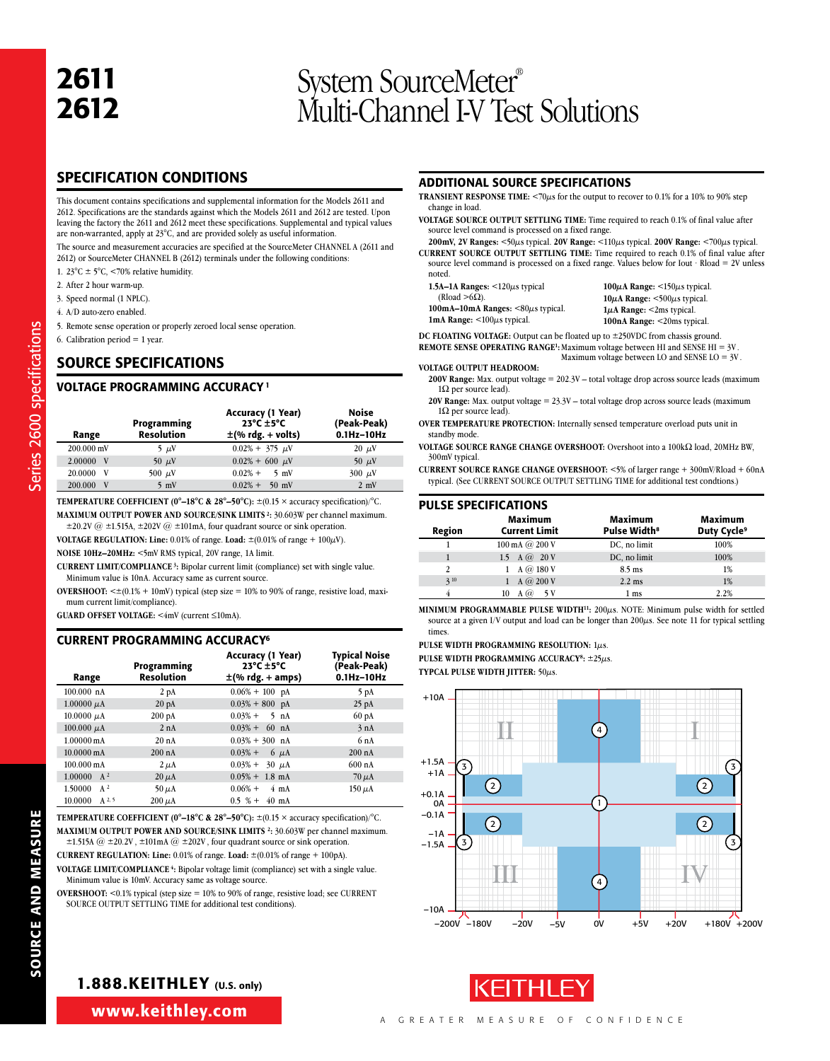# <sup>2612</sup> System SourceMeter® Multi-Channel I-V Test Solutions

#### SPECIFICATION CONDITIONS

This document contains specifications and supplemental information for the Models 2611 and 2612. Specifications are the standards against which the Models 2611 and 2612 are tested. Upon leaving the factory the 2611 and 2612 meet these specifications. Supplemental and typical values are non-warranted, apply at 23°C, and are provided solely as useful information.

The source and measurement accuracies are specified at the SourceMeter CHANNEL A (2611 and 2612) or SourceMeter CHANNEL B (2612) terminals under the following conditions:

- 1. 23 $\textdegree$ C  $\pm$  5 $\textdegree$ C, <70% relative humidity.
- 2. After 2 hour warm-up.
- 3. Speed normal (1 NPLC).
- 4. A/D auto-zero enabled.
- 5. Remote sense operation or properly zeroed local sense operation.
- 6. Calibration period  $= 1$  year.

Series 2600 specifications

Series 2600 specifications

#### SOURCE SPECIFICATIONS

#### VOLTAGE PROGRAMMING ACCURACY 1

| Range                   | Programming<br><b>Resolution</b> | <b>Accuracy (1 Year)</b><br>$23^{\circ}$ C $\pm 5^{\circ}$ C<br>$\pm$ (% rdg. + volts) | Noise<br>(Peak-Peak)<br>$0.1$ Hz $-10$ Hz |
|-------------------------|----------------------------------|----------------------------------------------------------------------------------------|-------------------------------------------|
| 200.000 mV              | 5 $\mu$ V                        | $0.02\% + 375 \mu V$                                                                   | $20 \mu V$                                |
| 2.00000<br>$\mathbf{V}$ | 50 $\mu$ V                       | $0.02\% + 600 \mu$ V                                                                   | 50 $\mu$ V                                |
| 20.0000<br>V            | 500 $\mu$ V                      | $0.02%$ +<br>$5 \text{ mV}$                                                            | $300 \mu V$                               |
| 200.000<br>V            | $5 \text{ mV}$                   | $0.02\% +$<br>$50 \text{ mV}$                                                          | $2 \text{ mV}$                            |

**TEMPERATURE COEFFICIENT (0°–18°C & 28°–50°C):** ±(0.15 × accuracy specification)/°C. **MAXiMUM OUTPUT POWER AND SOURCE/SINK LIMITS 2:** 30.603W per channel maximum.

 $\pm 20.2V$  @  $\pm 1.515A$ ,  $\pm 202V$  @  $\pm 101mA$ , four quadrant source or sink operation. **VOLTAGE REGULATION: Line:** 0.01% of range. Load:  $\pm (0.01\% \text{ of range} + 100\mu\text{V})$ .

**NOISE 10Hz–20MHz:** <5mV RMS typical, 20V range, 1A limit.

**CURRENT LIMIT/COMPLIANCE 3:** Bipolar current limit (compliance) set with single value. Minimum value is 10nA. Accuracy same as current source.

OVERSHOOT: < $\pm$ (0.1% + 10mV) typical (step size = 10% to 90% of range, resistive load, maximum current limit/compliance).

**GUARD OFFSET VOLTAGE:** <4mV (current ≤10mA).

#### CURRENT PROGRAMMING ACCURACY6

| Range                 | Programming<br><b>Resolution</b> | Accuracy (1 Year)<br>$23^{\circ}$ C $\pm$ 5°C<br>$\pm$ (% rdg. + amps) | <b>Typical Noise</b><br>(Peak-Peak)<br>$0.1$ Hz- $10$ Hz |
|-----------------------|----------------------------------|------------------------------------------------------------------------|----------------------------------------------------------|
| $100.000$ nA          | 2 <sub>pA</sub>                  | $0.06\% + 100$ pA                                                      | 5 pA                                                     |
| $1.00000 \mu A$       | 20 <sub>pA</sub>                 | $0.03\% + 800$ pA                                                      | $25$ pA                                                  |
| $10.0000 \mu A$       | 200pA                            | $0.03\% + 5 \text{ nA}$                                                | 60 <sub>pA</sub>                                         |
| 100.000 $\mu$ A       | 2 nA                             | $0.03\% + 60$ nA                                                       | 3 nA                                                     |
| $1.00000 \text{ mA}$  | 20 nA                            | $0.03\% + 300$ nA                                                      | 6nA                                                      |
| 10.0000 mA            | $200$ nA                         | $0.03\% + 6 \mu A$                                                     | $200 \text{ nA}$                                         |
| 100.000 mA            | $2 \mu A$                        | $0.03\% + 30 \mu A$                                                    | $600$ nA                                                 |
| $1.00000 \text{ A}^2$ | $20 \mu A$                       | $0.05\% + 1.8$ mA                                                      | $70 \mu A$                                               |
| $A^2$<br>1.50000      | $50 \mu A$                       | $0.06\% +$<br>$4 \text{ mA}$                                           | $150 \mu A$                                              |
| $A^{2,5}$<br>10.0000  | $200 \mu A$                      | $0.5 \% + 40 \text{ mA}$                                               |                                                          |

**TEMPERATURE COEFFICIENT (0°-18°C & 28°-50°C):**  $\pm$ (0.15 × accuracy specification)/°C. **MAXiMUM OUTPUT POWER AND SOURCE/SINK LIMITS 2:** 30.603W per channel maximum.  $\pm$ 1.515A @  $\pm$ 20.2V,  $\pm$ 101mA @  $\pm$ 202V, four quadrant source or sink operation.

**CURRENT REGULATION: Line:** 0.01% of range. **Load:** ±(0.01% of range + 100pA).

**VOLTAGE LIMIT/COMPLIANCE 4:** Bipolar voltage limit (compliance) set with a single value. Minimum value is 10mV. Accuracy same as voltage source.

**OVERSHOOT:** <0.1% typical (step size = 10% to 90% of range, resistive load; see CURRENT SOURCE OUTPUT SETTLING TIME for additional test conditions).

#### ADDITIONAL SOURCE SPECIFICATIONS

- **TRANSIENT RESPONSE TIME:** <70 $\mu$ s for the output to recover to 0.1% for a 10% to 90% step change in load.
- **VOLTAGE SOURCE OUTPUT SETTLING TIME:** Time required to reach 0.1% of final value after source level command is processed on a fixed range.

**200mV, 2V Ranges:** <50µs typical. **20V Range:** <110µs typical. **200V Range:** <700µs typical. **CURRENT SOURCE OUTPUT SETTLING TIME:** Time required to reach 0.1% of final value after source level command is processed on a fixed range. Values below for Iout  $\cdot$  Rload = 2V unless

- noted. **1.5A–1A Ranges:** <120µs typical (Rload  $>6\Omega$ ). **100mA–10mA Ranges:** <80µs typical.
- **100µA Range:** <150µs typical. **10µA Range:** <500µs typical. **1µA Range:** <2ms typical. **100nA Range:** <20ms typical.

**DC FLOATING VOLTAGE:** Output can be floated up to ±250VDC from chassis ground. **REMOTE SENSE OPERATING RANGE<sup>1</sup>:** Maximum voltage between HI and SENSE HI =  $3V$ .

Maximum voltage between LO and SENSE LO = 3V .

#### **VOLTAGE OUTPUT HEADROOM:**

**1mA Range:** <100µs typical.

- **200V Range:** Max. output voltage = 202.3V total voltage drop across source leads (maximum  $1\Omega$  per source lead)
- **20V Range:** Max. output voltage = 23.3V total voltage drop across source leads (maximum  $1\Omega$  per source lead).

**OVER TEMPERATURE PROTECTION:** Internally sensed temperature overload puts unit in standby mode

VOLTAGE SOURCE RANGE CHANGE OVERSHOOT: Overshoot into a 100kΩ load, 20MHz BW, 300mV typical.

**CURRENT SOURCE RANGE CHANGE OVERSHOOT:** <5% of larger range + 300mV/Rload + 60nA typical. (See CURRENT SOURCE OUTPUT SETTLING TIME for additional test condtions.)

#### PULSE SPECIFICATIONS

| Region | Maximum<br><b>Current Limit</b> | Maximum<br>Pulse Width <sup>8</sup> | Maximum<br>Duty Cycle <sup>9</sup> |
|--------|---------------------------------|-------------------------------------|------------------------------------|
|        | 100 mA $@$ 200 V                | DC, no limit                        | 100%                               |
|        | 1.5 A $\omega$ 20 V             | DC, no limit                        | 100%                               |
| 2      | 1 A $\omega$ 180 V              | $8.5 \text{ ms}$                    | 1%                                 |
| 310    | A $\omega$ 200 V                | $2.2 \text{ ms}$                    | 1%                                 |
|        | - 5 V<br>10<br>$\omega$         | 1 <sub>ms</sub>                     | 2.2%                               |

**MINIMUM PROGRAMMABLE PULSE WIDTH11:** 200µs. NOTE: Minimum pulse width for settled source at a given I/V output and load can be longer than  $200\mu s$ . See note 11 for typical settling times.

**Pulse width programming resolution:** 1µs. **Pulse width programming accuracy8:** ±25µs. **Typcal pulse width jitter:** 50µs.





#### 1.888.KEITHLEY (U.S. only)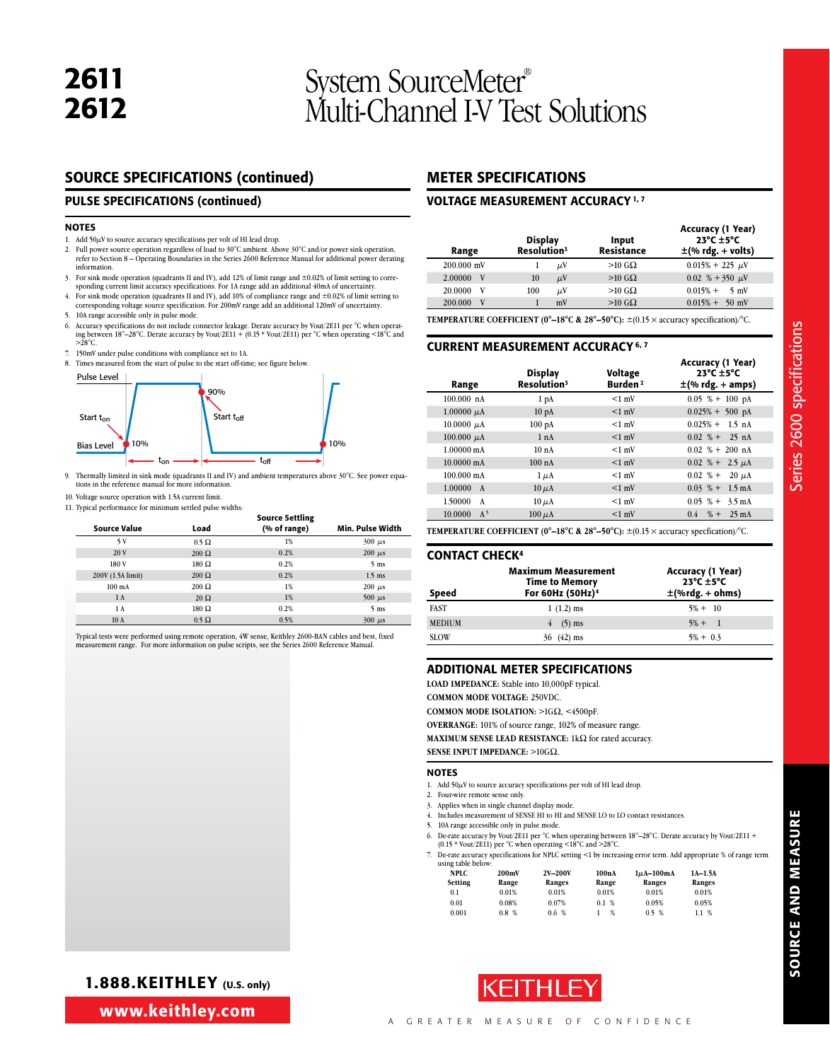# <sup>2612</sup> System SourceMeter® Multi-Channel I-V Test Solutions

#### SOURCE SPECIFICATIONS (continued)

#### PULSE SPECIFICATIONS (continued)

#### NOTES

- 1. Add  $50\mu$ V to source accuracy specifications per volt of HI lead drop.
- 2. Full power source operation regardless of load to  $30^{\circ}$ C ambient. Above  $30^{\circ}$ C and/or power sink operation, refer to Section 8 Operating Boundaries in the Series 2600 Reference Manual for additional power derat information.
- 3. For sink mode operation (quadrants II and IV), add 12% of limit range and ±0.02% of limit setting to corre-sponding current limit accuracy specifications. For 1A range add an additional 40mA of uncertainty.
- 4. For sink mode operation (quadrants II and IV), add 10% of compliance range and  $\pm 0.02$ % of limit setting to corresponding voltage source specification. For 200mV range add an additional 120mV of uncertainty.
- 5. 10A range accessible only in pulse mode.
- 6. Accuracy specifications do not include connector leakage. Derate accuracy by Vout/2E11 per °C when operating between 18°–28°C. Derate accuracy by Vout/2E11 + (0.15 \* Vout/2E11) per °C when operating <18°C and >28°C.
- 7. 150mV under pulse conditions with compliance set to 1A.
- 8. Times measured from the start of pulse to the start off-time; see figure below.



- 9. Thermally limited in sink mode (quadrants II and IV) and ambient temperatures above 30°C. See power equa-tions in the reference manual for more information.
- 10. Voltage source operation with 1.5A current limit.

| 11. Typical performance for minimum settled pulse widths: |               |                        |                  |  |  |
|-----------------------------------------------------------|---------------|------------------------|------------------|--|--|
|                                                           |               | <b>Source Settling</b> |                  |  |  |
| <b>Source Value</b>                                       | Load          | (% of range)           | Min. Pulse Width |  |  |
| 5 V                                                       | $0.5 \Omega$  | 1%                     | $300 \mu s$      |  |  |
| 20 V                                                      | $200 \Omega$  | 0.2%                   | $200 \mu s$      |  |  |
| 180 V                                                     | $180 \Omega$  | 0.2%                   | 5 <sub>ms</sub>  |  |  |
| 200V (1.5A limit)                                         | $200 \Omega$  | 0.2%                   | $1.5$ ms         |  |  |
| $100 \text{ mA}$                                          | $200 \Omega$  | 1%                     | $200 \mu s$      |  |  |
| 1 A                                                       | $20 \Omega$   | 1%                     | $500 \mu s$      |  |  |
| 1 A                                                       | $180\ \Omega$ | 0.2%                   | $5 \text{ ms}$   |  |  |
| 10A                                                       | $0.5 \Omega$  | 0.5%                   | $300 \mu s$      |  |  |

Typical tests were performed using remote operation, 4W sense, Keithley 2600-BAN cables and best, fixed measurement range. For more information on pulse scripts, see the Series 2600 Reference Manual.

#### METER SPECIFICATIONS

#### VOLTAGE MEASUREMENT ACCURACY 1, 7

| Range        | <b>Display</b><br>Resolution <sup>3</sup> |         | Input<br><b>Resistance</b> | Accuracy (1 Year)<br>$23^{\circ}$ C $\pm$ 5°C<br>$\pm$ (% rdg. + volts) |
|--------------|-------------------------------------------|---------|----------------------------|-------------------------------------------------------------------------|
| $200.000$ mV |                                           | μV      | $>10$ GQ                   | $0.015\% + 225 \mu V$                                                   |
| 2.00000<br>V | 10                                        | $\mu$ V | $>10$ G $\Omega$           | 0.02 % + 350 $\mu$ V                                                    |
| 20,0000<br>v | 100                                       | μV      | $>10$ GQ                   | $0.015%$ +<br>$5 \text{ mV}$                                            |
| 200,000<br>V |                                           | mV      | $>10$ G $\Omega$           | $0.015% +$<br>$50 \text{ mV}$                                           |

**TEMPERATURE COEFFICIENT (0°–18°C & 28°–50°C):** ±(0.15 × accuracy specification)/°C.

#### CURRENT MEASUREMENT ACCURACY 6, 7

| Range                     | <b>Display</b><br>Resolution <sup>3</sup> | Voltage<br>Burden <sup>2</sup> | Accuracy (1 Year)<br>$23^{\circ}$ C $\pm$ 5°C<br>$\pm$ (% rdg. + amps) |
|---------------------------|-------------------------------------------|--------------------------------|------------------------------------------------------------------------|
| $100.000$ nA              | 1 <sub>pA</sub>                           | $<1$ mV                        | $0.05$ % + 100 pA                                                      |
| $1.00000 \mu A$           | 10 <sub>pA</sub>                          | $<1$ mV                        | $0.025\% + 500$ pA                                                     |
| $10.0000 \mu A$           | $100\ \mathrm{pA}$                        | $<1$ mV                        | $0.025\% + 1.5$ nA                                                     |
| 100.000 $\mu$ A           | 1 nA                                      | $<1$ mV                        | $0.02 \% + 25 nA$                                                      |
| $1.00000 \text{ mA}$      | 10nA                                      | $<1$ mV                        | $0.02 \% + 200 nA$                                                     |
| $10.0000 \text{ mA}$      | $100$ nA                                  | $<1$ mV                        | $0.02~\% + 2.5 \mu A$                                                  |
| $100.000 \text{ mA}$      | $1 \mu A$                                 | $<1$ mV                        | $0.02 \, %$ +<br>$20 \mu A$                                            |
| 1.00000<br>$\mathbf{A}$   | $10 \mu A$                                | $<1$ mV                        | $0.03\text{ %}+1.5\text{ mA}$                                          |
| 1.50000<br>A              | $10 \mu A$                                | $<1$ mV                        | $0.05\text{ %}+3.5\text{ mA}$                                          |
| 10.0000<br>A <sup>5</sup> | $100 \mu A$                               | $<1$ mV                        | $0.4 \quad % + 25 \text{ mA}$                                          |

**TEMPERATURE COEFFICIENT (0°–18°C & 28°–50°C):**  $\pm$ (0.15  $\times$  accuracy specfication)/°C.

#### Contact Check4

| Speed         | <b>Maximum Measurement</b><br><b>Time to Memory</b><br>For 60Hz (50Hz) <sup>4</sup> | Accuracy (1 Year)<br>$23^{\circ}$ C $\pm$ 5 $^{\circ}$ C<br>$\pm$ (%rdg. + ohms) |
|---------------|-------------------------------------------------------------------------------------|----------------------------------------------------------------------------------|
| <b>FAST</b>   | $1(1.2)$ ms                                                                         | $5\% + 10$                                                                       |
| <b>MEDIUM</b> | $4(5)$ ms                                                                           | $5\% + 1$                                                                        |
| <b>SLOW</b>   | $36 \quad (42) \text{ ms}$                                                          | $5\% + 0.3$                                                                      |

#### ADDITIONAL METER SPECIFICATIONS

**LOAD IMPEDANCE:** Stable into 10,000pF typical.

**COMMON MODE VOLTAGE:** 250VDC.

**COMMON MODE ISOLATION: >1GΩ, <4500pF.** 

**OVERRANGE:** 101% of source range, 102% of measure range.

**MAXIMUM SENSE LEAD RESISTANCE:** 1kΩ for rated accuracy.

**NOTES** 

1. Add  $50\mu$ V to source accuracy specifications per volt of HI lead drop.

2. Four-wire remote sense only.

**SENSE INPUT IMPEDANCE:** >10GO.

- 3. Applies when in single channel display mode. 4. Includes measurement of SENSE HI to HI and SENSE LO to LO contact resistances.
- 5. 10A range accessible only in pulse mode.
- 6. De-rate accuracy by Vout/2E11 per °C when operating between 18°–28°C. Derate accuracy by Vout/2E11 + (0.15 \* Vout/2E11) per °C when operating <18°C and >28°C.
- 7. De-rate accuracy specifications for NPLC setting <1 by increasing error term. Add appropriate % of range term using table below:

| using table below:<br>NPLC.<br>Setting | 200mV<br>Range | 2V-200V<br>Ranges | 100nA<br>Range | $1\mu$ A-100mA<br>Ranges | $1A-1.5A$<br>Ranges |
|----------------------------------------|----------------|-------------------|----------------|--------------------------|---------------------|
| 0.1                                    | 0.01%          | 0.01%             | 0.01%          | 0.01%                    | 0.01%               |
| 0.01                                   | 0.08%          | 0.07%             | 0.1 %          | 0.05%                    | 0.05%               |
| 0.001                                  | 0.8%           | 0.6%              | %              | 0.5 %                    | 1.1%                |



**SOURCE AND MEASURE** SOURCE AND MEASURE

www.keithley.com

1.888.KEITHLEY (U.S. only)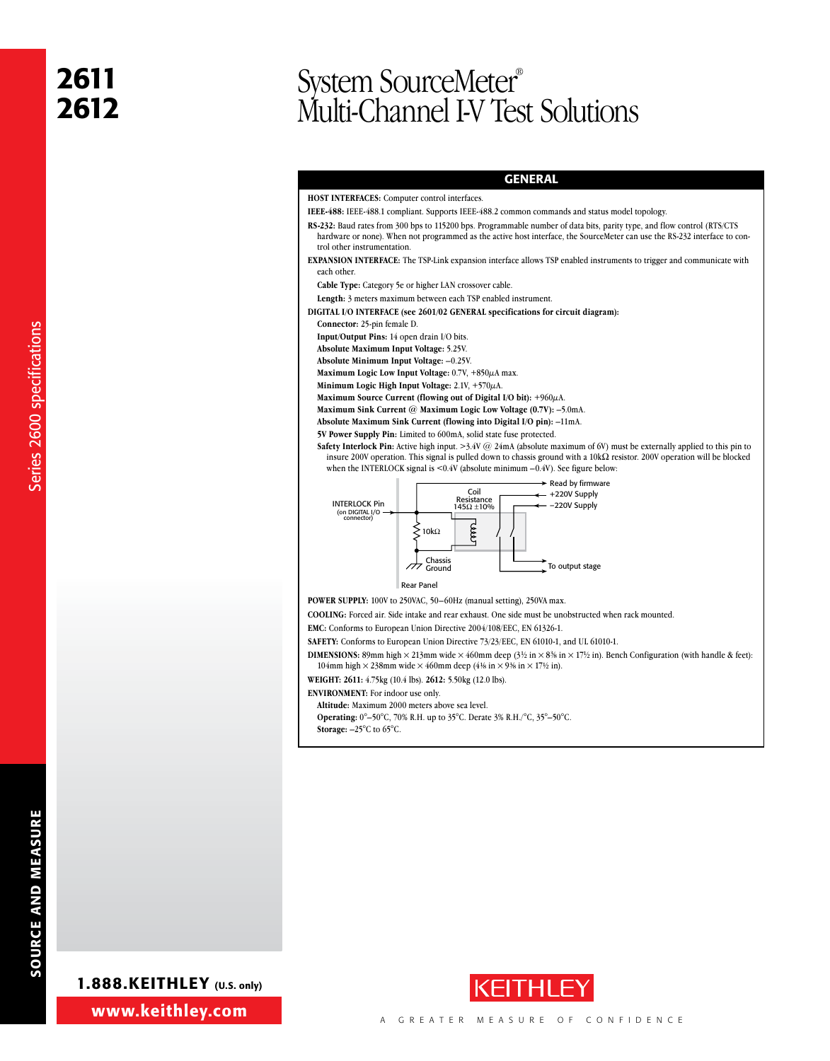# <sup>2612</sup> System SourceMeter® Multi-Channel I-V Test Solutions

#### GENERAL

#### **HOST INTERFACES:** Computer control interfaces.

- **IEEE-488:** IEEE-488.1 compliant. Supports IEEE-488.2 common commands and status model topology.
- **RS-232:** Baud rates from 300 bps to 115200 bps. Programmable number of data bits, parity type, and flow control (RTS/CTS hardware or none). When not programmed as the active host interface, the SourceMeter can use the RS-232 interface to control other instrumentation.
- **EXPANSION INTERFACE:** The TSP-Link expansion interface allows TSP enabled instruments to trigger and communicate with each other
- **Cable Type:** Category 5e or higher LAN crossover cable.
- **Length:** 3 meters maximum between each TSP enabled instrument.
- **DIGITAL I/O INTERFACE (see 2601/02 GENERAL specifications for circuit diagram):**
- **Connector:** 25-pin female D.
- **Input/Output Pins:** 14 open drain I/O bits.
- **Absolute Maximum Input Voltage:** 5.25V.
- **Absolute Minimum Input Voltage:** –0.25V.

**Maximum Logic Low Input Voltage:** 0.7V, +850µA max.

- **Minimum Logic High Input Voltage:** 2.1V, +570µA.
- **Maximum Source Current (flowing out of Digital I/O bit):** +960µA.
- **Maximum Sink Current @ Maximum Logic Low Voltage (0.7V):** –5.0mA.
- **Absolute Maximum Sink Current (flowing into Digital I/O pin):** –11mA.
- **5V Power Supply Pin:** Limited to 600mA, solid state fuse protected.
- **Safety Interlock Pin:** Active high input. >3.4V @ 24mA (absolute maximum of 6V) must be externally applied to this pin to insure 200V operation. This signal is pulled down to chassis ground with a  $10k\Omega$  resistor. 200V operation will be blocked when the INTERLOCK signal is <0.4V (absolute minimum –0.4V). See figure below:



**Rear Panel** 

**POWER SUPPLY:** 100V to 250VAC, 50–60Hz (manual setting), 250VA max.

**COOLING:** Forced air. Side intake and rear exhaust. One side must be unobstructed when rack mounted.

**EMC:** Conforms to European Union Directive 2004/108/EEC, EN 61326-1.

**SAFETY:** Conforms to European Union Directive 73/23/EEC, EN 61010-1, and UL 61010-1.

**DIMENSIONS:** 89mm high  $\times$  213mm wide  $\times$  460mm deep (3½ in  $\times$  83% in  $\times$  17½ in). Bench Configuration (with handle & feet): 104mm high  $\times$  238mm wide  $\times$  460mm deep (4% in  $\times$  9% in  $\times$  17% in).

**WEIGHT: 2611:** 4.75kg (10.4 lbs). **2612:** 5.50kg (12.0 lbs).

**ENVIRONMENT:** For indoor use only.

**Altitude:** Maximum 2000 meters above sea level.

**Operating:** 0°–50°C, 70% R.H. up to 35°C. Derate 3% R.H./°C, 35°–50°C.

**Storage:** –25°C to 65°C.

Series 2600 specifications

Series 2600 specifications



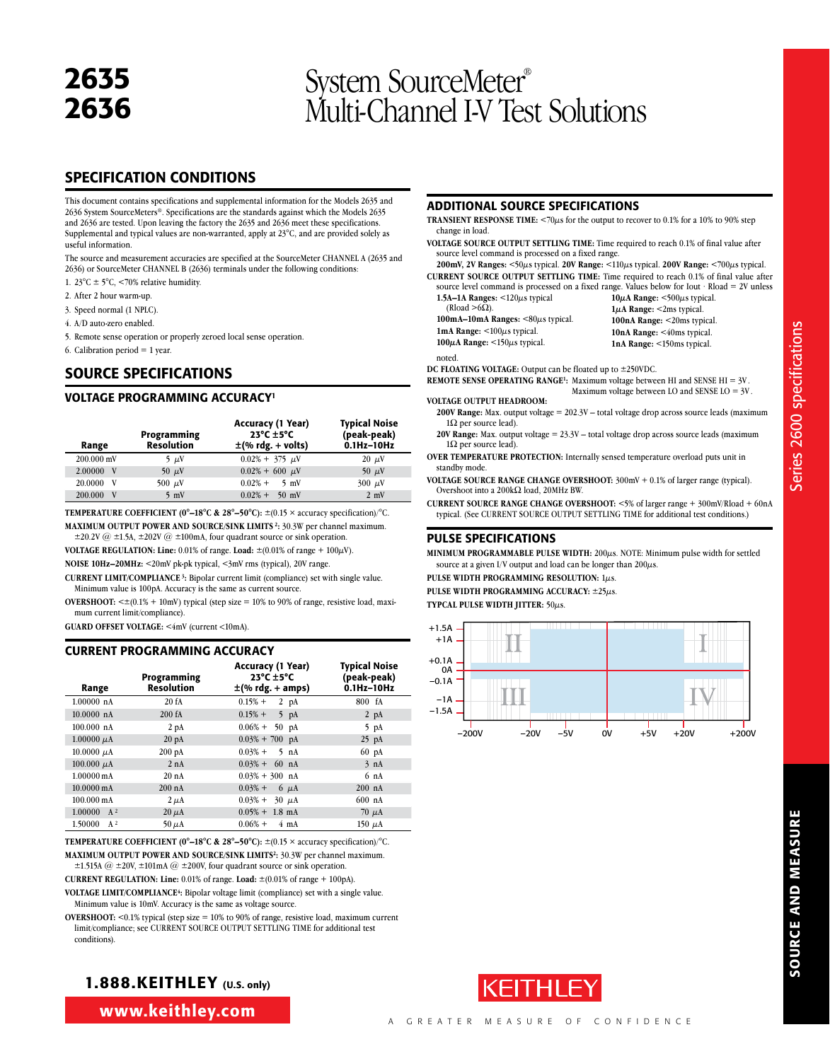# <sup>2636</sup> System SourceMeter® Multi-Channel I-V Test Solutions

#### SPECIFICATION CONDITIONS

This document contains specifications and supplemental information for the Models 2635 and 2636 System SourceMeters®. Specifications are the standards against which the Models 2635 and 2636 are tested. Upon leaving the factory the 2635 and 2636 meet these specifications. Supplemental and typical values are non-warranted, apply at 23°C, and are provided solely as useful information.

The source and measurement accuracies are specified at the SourceMeter CHANNEL A (2635 and 2636) or SourceMeter CHANNEL B (2636) terminals under the following conditions:

- 1. 23 $\textdegree$ C  $\pm$  5 $\textdegree$ C, <70% relative humidity.
- 2. After 2 hour warm-up.
- 3. Speed normal (1 NPLC).
- 4. A/D auto-zero enabled.
- 5. Remote sense operation or properly zeroed local sense operation.
- 6. Calibration period  $= 1$  year.

#### SOURCE SPECIFICATIONS

#### VOLTAGE PROGRAMMING ACCURACY1

| Range          | Programming<br><b>Resolution</b> | <b>Accuracy (1 Year)</b><br>$23^{\circ}$ C $\pm 5^{\circ}$ C<br>$\pm$ (% rdg. + volts) | <b>Typical Noise</b><br>(peak-peak)<br>$0.1$ Hz $-10$ Hz |
|----------------|----------------------------------|----------------------------------------------------------------------------------------|----------------------------------------------------------|
| 200.000 mV     | $5 \mu V$                        | $0.02\% + 375 \mu V$                                                                   | $20 \mu V$                                               |
| 2.00000<br>- V | 50 $\mu$ V                       | $0.02\% + 600 \mu$ V                                                                   | 50 $\mu$ V                                               |
| 20.0000<br>V   | 500 $\mu$ V                      | $0.02\% +$<br>$-5$ mV                                                                  | $300 \mu V$                                              |
| 200.000<br>V   | $5 \text{ mV}$                   | $0.02\% + 50$ mV                                                                       | $2 \text{ mV}$                                           |

**TEMPERATURE COEFFICIENT (0°–18°C & 28°–50°C):**  $\pm$ (0.15  $\times$  accuracy specification)/°C.

**MAXiMUM OUTPUT POWER AND SOURCE/SINK LIMITS 2:** 30.3W per channel maximum.

 $\pm 20.2V$  @  $\pm 1.5A$ ,  $\pm 202V$  @  $\pm 100$  mA, four quadrant source or sink operation. **VOLTAGE REGULATION: Line:** 0.01% of range. **Load:**  $\pm (0.01\% \text{ of range} + 100\mu\text{V})$ .

**NOISE 10Hz–20MHz:** <20mV pk-pk typical, <3mV rms (typical), 20V range.

**CURRENT LIMIT/COMPLIANCE 3:** Bipolar current limit (compliance) set with single value. Minimum value is 100pA. Accuracy is the same as current source.

**OVERSHOOT:**  $\leq \pm (0.1\% + 10$ mV) typical (step size = 10% to 90% of range, resistive load, maximum current limit/compliance).

**GUARD OFFSET VOLTAGE:** <4mV (current <10mA).

#### CURRENT PROGRAMMING ACCURACY

| Range                | Programming<br><b>Resolution</b> | Accuracy (1 Year)<br>$23^{\circ}$ C $\pm$ 5°C<br>$\pm$ (% rdg. + amps) | <b>Typical Noise</b><br>(peak-peak)<br>$0.1$ Hz- $10$ Hz |
|----------------------|----------------------------------|------------------------------------------------------------------------|----------------------------------------------------------|
| $1.00000$ nA         | 20 fA                            | $0.15% +$<br>$2$ pA                                                    | 800 fA                                                   |
| $10.0000$ nA         | 200 fA                           | $0.15% +$<br>$5$ pA                                                    | $2 \text{ pA}$                                           |
| 100.000 nA           | 2 <sub>pA</sub>                  | $0.06\% +$<br>$50$ pA                                                  | $5$ pA                                                   |
| 1.00000 $\mu$ A      | 20 <sub>pA</sub>                 | $0.03\% + 700$ pA                                                      | $25$ pA                                                  |
| $10.0000 \mu A$      | $200 \text{ pA}$                 | $0.03%$ +<br>$5$ nA                                                    | $60\;\mathrm{pA}$                                        |
| 100.000 $\mu$ A      | 2 nA                             | $0.03\% + 60$ nA                                                       | 3 nA                                                     |
| $1.00000 \text{ mA}$ | 20 nA                            | $0.03\% + 300$ nA                                                      | 6 <sub>nA</sub>                                          |
| 10.0000 mA           | $200 \text{ nA}$                 | $0.03%$ +<br>$6 \mu A$                                                 | $200$ nA                                                 |
| $100.000 \text{ mA}$ | $2 \mu A$                        | $0.03% +$<br>$30 \mu A$                                                | $600$ nA                                                 |
| $1.00000 A^2$        | $20 \mu A$                       | $0.05\% + 1.8$ mA                                                      | $70 \mu A$                                               |
| $A^2$<br>1.50000     | $50 \mu A$                       | $0.06%$ +<br>$4 \text{ mA}$                                            | $150 \mu A$                                              |

**TEMPERATURE COEFFICIENT (0°–18°C & 28°–50°C):**  $\pm$ (0.15  $\times$  accuracy specification)/°C. **MAXiMUM OUTPUT POWER AND SOURCE/SINK LIMITS2:** 30.3W per channel maximum.

 $\pm$ 1.515A @  $\pm$ 20V,  $\pm$ 101mA @  $\pm$ 200V, four quadrant source or sink operation. **CURRENT REGULATION: Line:** 0.01% of range. **Load:** ±(0.01% of range + 100pA).

**VOLTAGE LIMIT/COMPLIANCE4:** Bipolar voltage limit (compliance) set with a single value. Minimum value is 10mV. Accuracy is the same as voltage source.

**OVERSHOOT:** <0.1% typical (step size = 10% to 90% of range, resistive load, maximum current limit/compliance; see CURRENT SOURCE OUTPUT SETTLING TIME for additional test conditions).

#### 1.888.KEITHLEY (U.S. only)

www.keithley.com

#### ADDITIONAL SOURCE SPECIFICATIONS

- **TRANSIENT RESPONSE TIME:**  $\leq 70\mu s$  for the output to recover to 0.1% for a 10% to 90% step change in load.
- **VOLTAGE SOURCE OUTPUT SETTLING TIME:** Time required to reach 0.1% of final value after source level command is processed on a fixed range.

**200mV, 2V Ranges:** <50µs typical. **20V Range:** <110µs typical. **200V Range:** <700µs typical. **CURRENT SOURCE OUTPUT SETTLING TIME:** Time required to reach 0.1% of final value after ed range. Values below for Iout · Rload = 2V unless

| source level command is processed on a fixe           |
|-------------------------------------------------------|
| 1.5A-1A Ranges: $\leq 120\mu s$ typical               |
| (Rload $>6\Omega$ ).                                  |
| 100mA-10mA Ranges: $\langle 80\mu s \rangle$ typical. |
| 1mA Range: $\leq 100\mu s$ typical.                   |

**10µA Range:** <500µs typical. **1µA Range:** <2ms typical. **100nA Range:** <20ms typical. 10nA Range: <40ms typical. **1nA Range:** <150ms typical.

noted.

**DC FLOATING VOLTAGE:** Output can be floated up to ±250VDC.

**REMOTE SENSE OPERATING RANGE<sup>1</sup>:** Maximum voltage between HI and SENSE HI = 3V. Maximum voltage between LO and SENSE LO = 3V .

**VOLTAGE OUTPUT HEADROOM:**

**100µA Range:** <150µs typical.

- **200V Range:** Max. output voltage = 202.3V total voltage drop across source leads (maximum  $1\Omega$  per source lead).
- **20V Range:** Max. output voltage = 23.3V total voltage drop across source leads (maximum  $1\Omega$  per source lead).
- **OVER TEMPERATURE PROTECTION:** Internally sensed temperature overload puts unit in standby mode.
- **VOLTAGE SOURCE RANGE CHANGE OVERSHOOT:** 300mV + 0.1% of larger range (typical). Overshoot into a 200 $k\Omega$  load, 20MHz BW.
- **CURRENT SOURCE RANGE CHANGE OVERSHOOT:** <5% of larger range + 300mV/Rload + 60nA typical. (See CURRENT SOURCE OUTPUT SETTLING TIME for additional test conditions.)

#### PULSE SPECIFICATIONS

**MINIMUM PROGRAMMABLE PULSE WIDTH:** 200µs. NOTE: Minimum pulse width for settled source at a given I/V output and load can be longer than  $200\mu s$ .

**Pulse width programming resolution:** 1µs. **Pulse width programming accuracy:** ±25µs.

**Typcal pulse width jitter:** 50µs.



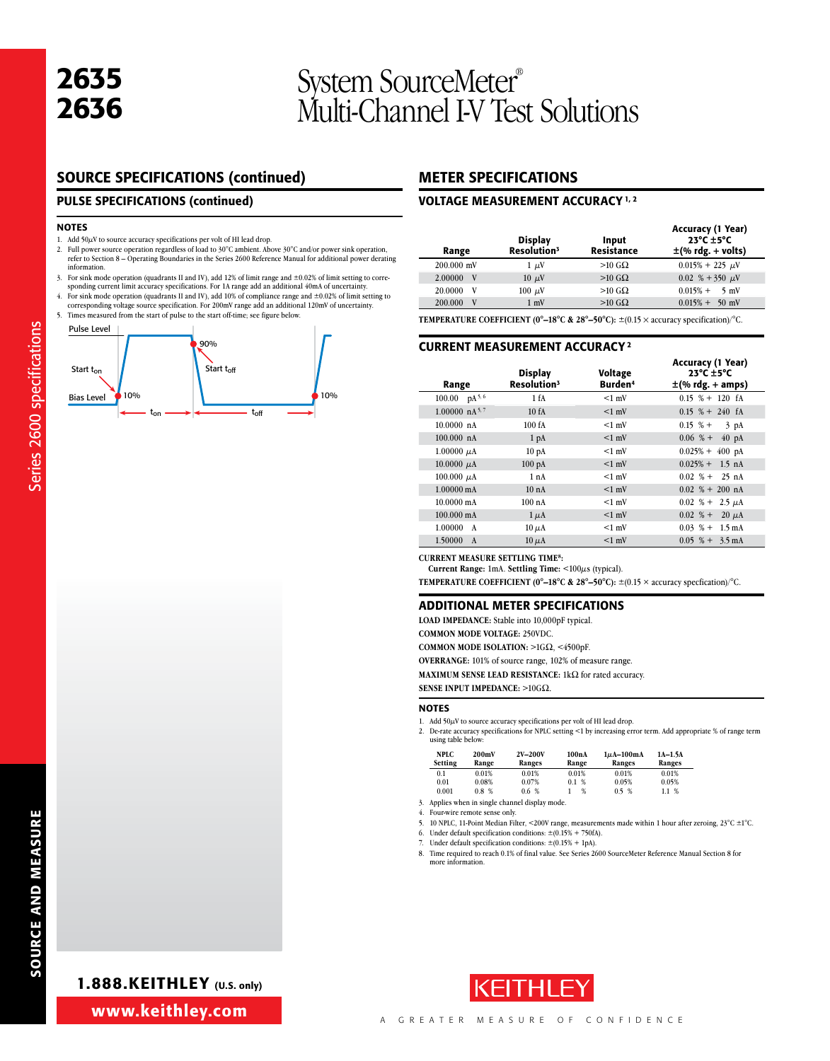# <sup>2636</sup> System SourceMeter® Multi-Channel I-V Test Solutions

#### SOURCE SPECIFICATIONS (continued)

#### PULSE SPECIFICATIONS (continued)

#### NOTES

Series 2600 specifications

Series 2600 specifications

- 1. Add  $50\mu$ V to source accuracy specifications per volt of HI lead drop.
- 2. Full power source operation regardless of load to  $30^{\circ}$ C ambient. Above  $30^{\circ}$ C and/or power sink operation, refer to Section 8 Operating Boundaries in the Series 2600 Reference Manual for additional power derat information.
- 3. For sink mode operation (quadrants II and IV), add 12% of limit range and ±0.02% of limit setting to corre-sponding current limit accuracy specifications. For 1A range add an additional 40mA of uncertainty.
- 4. For sink mode operation (quadrants II and IV), add 10% of compliance range and ±0.02% of limit setting to corresponding voltage source specification. For 200mV range add an additional 120mV of uncertainty.
- 5. Times measured from the start of pulse to the start off-time; see figure below.



#### METER SPECIFICATIONS

#### VOLTAGE MEASUREMENT ACCURACY 1, 2

| Range        | <b>Display</b><br>Resolution <sup>3</sup> | Input<br><b>Resistance</b> | Accuracy (1 Year)<br>$23^{\circ}$ C $\pm$ 5°C<br>$\pm$ (% rdg. + volts) |
|--------------|-------------------------------------------|----------------------------|-------------------------------------------------------------------------|
| $200.000$ mV | $1 \mu V$                                 | $>10$ GQ                   | $0.015\% + 225 \mu$ V                                                   |
| 2.00000<br>V | $10 \mu V$                                | $>10$ G $\Omega$           | 0.02 % + 350 $\mu$ V                                                    |
| 20.0000<br>v | $100 \mu V$                               | $>10$ GQ                   | $0.015\% + 5$ mV                                                        |
| V<br>200,000 | $1 \text{ mV}$                            | $>10$ GQ                   | $0.015\% + 50$ mV                                                       |

**TEMPERATURE COEFFICIENT (0°–18°C & 28°–50°C):** ±(0.15 × accuracy specification)/°C.

#### CURRENT MEASUREMENT ACCURACY 2

| Range                      | <b>Display</b><br>Resolution <sup>3</sup> | Voltage<br>Burden <sup>4</sup> | <b>Accuracy (1 Year)</b><br>$23^{\circ}$ C +5°C<br>$\pm$ (% rdg. + amps) |
|----------------------------|-------------------------------------------|--------------------------------|--------------------------------------------------------------------------|
| 100.00 $pA^{5,6}$          | 1 fA                                      | $<1$ mV                        | $0.15$ % + 120 fA                                                        |
| $1.00000 \text{ nA}^{5,7}$ | 10fA                                      | $<1$ mV                        | $0.15 \% + 240$ fA                                                       |
| 10.0000 nA                 | 100 fA                                    | $<1$ mV                        | $0.15 \text{ %} +$<br>$3$ pA                                             |
| $100.000 \text{ nA}$       | 1 <sub>pA</sub>                           | $<1$ mV                        | $0.06$ % +<br>$40\;\mathrm{pA}$                                          |
| $1.00000 \mu A$            | 10 <sub>pA</sub>                          | $<1$ mV                        | $0.025% +$<br>$400 \text{ pA}$                                           |
| 10.0000 $\mu$ A            | 100pA                                     | $<1$ mV                        | $0.025\% + 1.5$ nA                                                       |
| $100.000 \mu A$            | 1 nA                                      | $<1$ mV                        | $0.02\% + 25$ nA                                                         |
| $1.00000 \text{ mA}$       | 10nA                                      | $<1$ mV                        | $0.02 \, % + 200 \, nA$                                                  |
| $10.0000 \text{ mA}$       | 100nA                                     | $<1$ mV                        | $0.02~\% + 2.5 \mu A$                                                    |
| $100.000 \text{ mA}$       | $1 \mu A$                                 | $<1$ mV                        | $0.02 \, % + 20 \, \mu A$                                                |
| 1.00000<br>A               | $10 \mu A$                                | $<1$ mV                        | $0.03\text{ %}+1.5\text{ mA}$                                            |
| 1.50000<br>A               | $10 \mu A$                                | $<1$ mV                        | $0.05\text{ %} + 3.5\text{ mA}$                                          |

**Current Measure Settling Time8:**

**Current Range:** 1mA. **Settling Time:** <100µs (typical).

**TEMPERATURE COEFFICIENT (0°–18°C & 28°–50°C):** ±(0.15 × accuracy specfication)/°C.

#### ADDITIONAL METER SPECIFICATIONS

**LOAD IMPEDANCE:** Stable into 10,000pF typical.

**COMMON MODE VOLTAGE:** 250VDC.

**COMMON MODE ISOLATION: >1GΩ, <4500pF.** 

**OVERRANGE:** 101% of source range, 102% of measure range.

**MAXIMUM SENSE LEAD RESISTANCE:** 1kΩ for rated accuracy.

**SENSE INPUT IMPEDANCE:**  $>10$ G $\Omega$ .

#### **NOTES**

1. Add  $50\mu$ V to source accuracy specifications per volt of HI lead drop.

2. De-rate accuracy specifications for NPLC setting <1 by increasing error term. Add appropriate % of range term using table below:

| <b>NPLC</b><br>Setting | 200mV<br>Range | 2V-200V<br>Ranges | 100nA<br>Range | $1\mu$ A-100mA<br>Ranges | $1A-1.5A$<br>Ranges |
|------------------------|----------------|-------------------|----------------|--------------------------|---------------------|
| 0.1                    | 0.01%          | 0.01%             | 0.01%          | 0.01%                    | 0.01%               |
| 0.01                   | 0.08%          | 0.07%             | %<br>0.1       | 0.05%                    | 0.05%               |
| 0.001                  | 0.8%           | 0.6 %             | %              | 0.5 %                    | 1.1 %               |

3. Applies when in single channel display mode.

4. Four-wire remote sense only.<br>5. 10 NPLC, 11-Point Median Fili

10 NPLC, 11-Point Median Filter, <200V range, measurements made within 1 hour after zeroing, 23°C  $\pm$ 1°C.

6. Under default specification conditions:  $\pm (0.15\% + 750$ fA). Under default specification conditions:  $\pm (0.15\% + 1pA)$ .

8. Time required to reach 0.1% of final value. See Series 2600 SourceMeter Reference Manual Section 8 for more information.



1.888.KEITHLEY (U.S. only)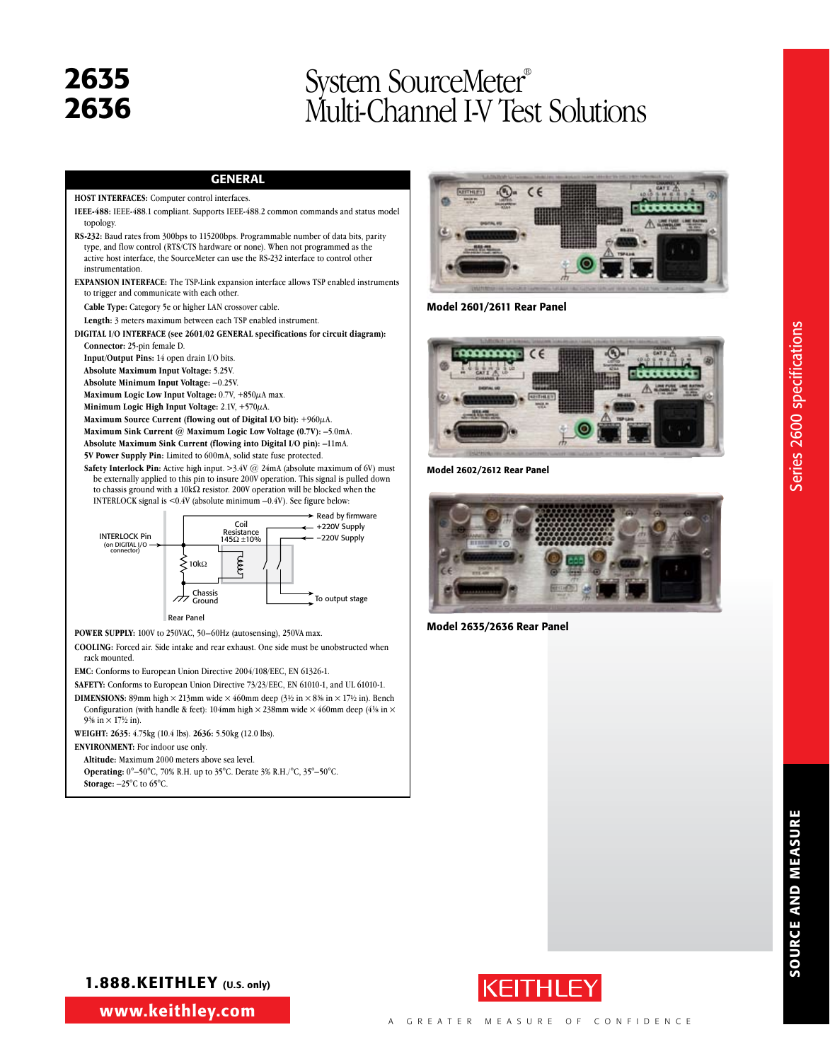### 2635 System SourceMeter®<br>2636 Multi-Channel LV Tes Multi-Channel I-V Test Solutions

#### GENERAL

#### **HOST INTERFACES:** Computer control interfaces.

**IEEE-488:** IEEE-488.1 compliant. Supports IEEE-488.2 common commands and status model topology.

**RS-232:** Baud rates from 300bps to 115200bps. Programmable number of data bits, parity type, and flow control (RTS/CTS hardware or none). When not programmed as the active host interface, the SourceMeter can use the RS-232 interface to control other instrumentation.

**EXPANSION INTERFACE:** The TSP-Link expansion interface allows TSP enabled instruments to trigger and communicate with each other.

**Cable Type:** Category 5e or higher LAN crossover cable.

**Length:** 3 meters maximum between each TSP enabled instrument.

**DIGITAL I/O INTERFACE (see 2601/02 GENERAL specifications for circuit diagram): Connector:** 25-pin female D.

**Input/Output Pins:** 14 open drain I/O bits.

**Absolute Maximum Input Voltage:** 5.25V.

**Absolute Minimum Input Voltage:** –0.25V.

**Maximum Logic Low Input Voltage:** 0.7V, +850µA max.

**Minimum Logic High Input Voltage:** 2.1V, +570µA.

**Maximum Source Current (flowing out of Digital I/O bit):** +960µA.

**Maximum Sink Current @ Maximum Logic Low Voltage (0.7V):** –5.0mA. **Absolute Maximum Sink Current (flowing into Digital I/O pin):** –11mA.

**5V Power Supply Pin:** Limited to 600mA, solid state fuse protected.

**Safety Interlock Pin:** Active high input. >3.4V @ 24mA (absolute maximum of 6V) must be externally applied to this pin to insure 200V operation. This signal is pulled down to chassis ground with a  $10k\Omega$  resistor. 200V operation will be blocked when the INTERLOCK signal is <0.4V (absolute minimum –0.4V). See figure below:



**POWER SUPPLY:** 100V to 250VAC, 50–60Hz (autosensing), 250VA max.

**COOLING:** Forced air. Side intake and rear exhaust. One side must be unobstructed when rack mounted.

**EMC:** Conforms to European Union Directive 2004/108/EEC, EN 61326-1.

**SAFETY:** Conforms to European Union Directive 73/23/EEC, EN 61010-1, and UL 61010-1.

**DIMENSIONS:** 89mm high  $\times$  213mm wide  $\times$  460mm deep (3<sup>1</sup>/2 in  $\times$  8<sup>3</sup>/8 in  $\times$  17<sup>1</sup>/2 in). Bench Configuration (with handle & feet): 104mm high  $\times$  238mm wide  $\times$  460mm deep (41% in  $\times$ 9<sup>3</sup>/<sub>8</sub> in  $\times$  17<sup>1</sup>/<sub>2</sub> in).

**WEIGHT: 2635:** 4.75kg (10.4 lbs). **2636:** 5.50kg (12.0 lbs).

**ENVIRONMENT:** For indoor use only.

**Altitude:** Maximum 2000 meters above sea level.

**Operating:** 0°–50°C, 70% R.H. up to 35°C. Derate 3% R.H./°C, 35°–50°C.

**Storage:** –25°C to 65°C.



Model 2601/2611 Rear Panel



Model 2602/2612 Rear Panel



Model 2635/2636 Rear Panel



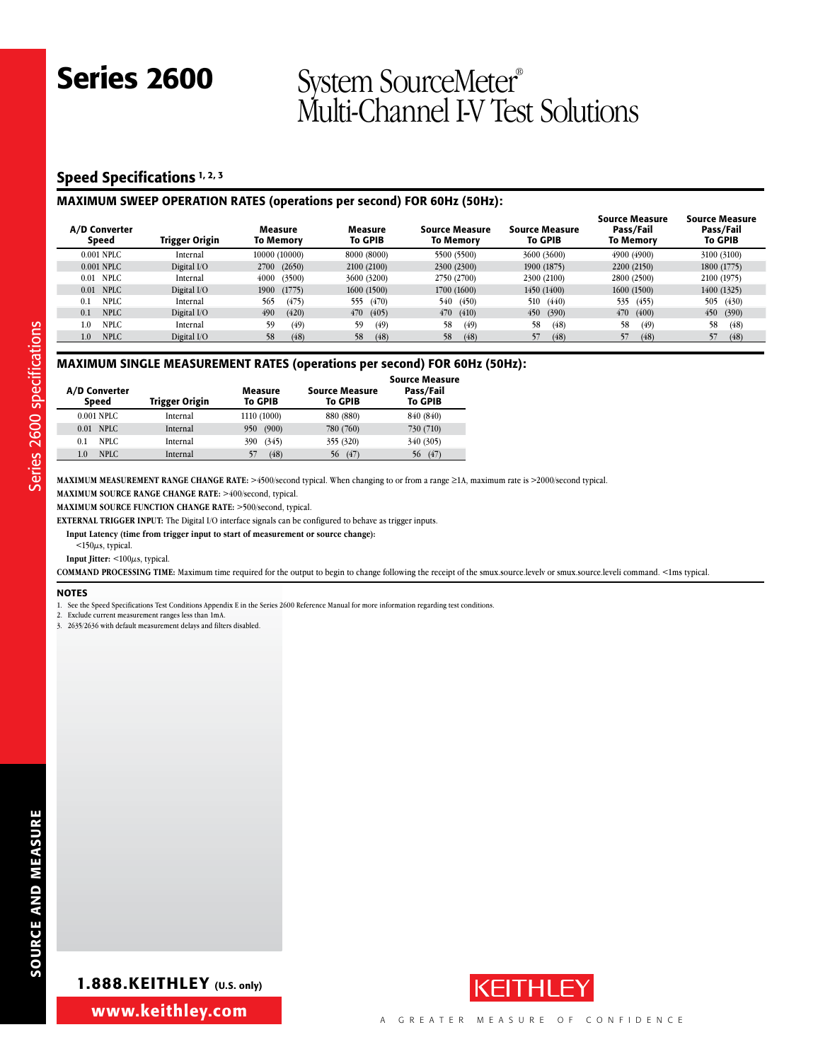#### Speed Specifications<sup>1, 2, 3</sup>

#### Maximum SWEEP OPERATION RATES (operations per second) FOR 60Hz (50Hz):

| A/D Converter<br>Speed | Trigger Origin | Measure<br>To Memorv | Measure<br><b>To GPIB</b> | <b>Source Measure</b><br>To Memorv | <b>Source Measure</b><br><b>To GPIB</b> | <b>Source Measure</b><br>Pass/Fail<br><b>To Memory</b> | Source Measure<br>Pass/Fail<br><b>To GPIB</b> |
|------------------------|----------------|----------------------|---------------------------|------------------------------------|-----------------------------------------|--------------------------------------------------------|-----------------------------------------------|
| 0.001 NPLC             | Internal       | 10000 (10000)        | 8000 (8000)               | 5500 (5500)                        | 3600 (3600)                             | 4900 (4900)                                            | 3100 (3100)                                   |
| 0.001 NPLC             | Digital I/O    | (2650)<br>2700       | 2100 (2100)               | 2300 (2300)                        | 1900 (1875)                             | 2200 (2150)                                            | 1800 (1775)                                   |
| <b>NPLC</b><br>0.01    | Internal       | (3500)<br>4000       | 3600 (3200)               | 2750 (2700)                        | 2300 (2100)                             | 2800 (2500)                                            | 2100 (1975)                                   |
| 0.01 NPLC              | Digital I/O    | 1900<br>(1775)       | 1600(1500)                | 1700 (1600)                        | 1450 (1400)                             | 1600 (1500)                                            | 1400 (1325)                                   |
| NPLC<br>0.1            | Internal       | (475)<br>565         | 555<br>(470)              | (450)<br>540                       | 510<br>(440)                            | 535 (455)                                              | 505 (430)                                     |
| <b>NPLC</b><br>0.1     | Digital I/O    | 490<br>(420)         | 470<br>(405)              | 470<br>(410)                       | 450<br>(390)                            | 470<br>(400)                                           | 450<br>(390)                                  |
| <b>NPLC</b><br>1.0     | Internal       | 59<br>(49)           | (49)<br>59                | (49)<br>58                         | (48)<br>58                              | 58<br>(49)                                             | (48)<br>58                                    |
| <b>NPLC</b><br>1.0     | Digital I/O    | 58<br>(48)           | 58<br>(48)                | 58<br>(48)                         | 57<br>(48)                              | (48)                                                   | 57<br>(48)                                    |
|                        |                |                      |                           |                                    |                                         |                                                        |                                               |

#### Maximum SINGLE MEASUREMENT RATES (operations per second) FOR 60Hz (50Hz):

| A/D Converter<br><b>Speed</b> | <b>Trigger Origin</b> | Measure<br><b>To GPIB</b> | <b>Source Measure</b><br><b>To GPIB</b> | <b>Source Measure</b><br>Pass/Fail<br><b>To GPIB</b> |
|-------------------------------|-----------------------|---------------------------|-----------------------------------------|------------------------------------------------------|
| 0.001 NPLC                    | Internal              | 1110 (1000)               | 880 (880)                               | 840 (840)                                            |
| NPLC.<br>0.01                 | Internal              | (900)<br>950              | 780 (760)                               | 730 (710)                                            |
| NPLC.<br>0.1                  | Internal              | (345)<br>390              | 355 (320)                               | 340 (305)                                            |
| NPLC.<br>1.0                  | Internal              | (48)<br>57                | (47)<br>56                              | (47)<br>56                                           |
|                               |                       |                           |                                         |                                                      |

MAXIMUM MEASUREMENT RANGE CHANGE RATE: >4500/second typical. When changing to or from a range ≥1A, maximum rate is >2000/second typical.

**Maximum SOURCE Range CHANGE RATE:** >400/second, typical.

**Maximum SOURCE FUNCTION CHANGE RATE:** >500/second, typical.

**EXTERNAL TRIGGER INPUT:** The Digital I/O interface signals can be configured to behave as trigger inputs.

**Input Latency (time from trigger input to start of measurement or source change):**

 $<$ 150 $\mu$ s, typical.

**Input Jitter:** <100µs, typical.

**COMMAND PROCESSING TIME:** Maximum time required for the output to begin to change following the receipt of the smux.source.levelv or smux.source.leveli command. <1ms typical.

#### NOTES

Series 2600 specifications

Series 2600 specifications

1. See the Speed Specifications Test Conditions Appendix E in the Series 2600 Reference Manual for more information regarding test conditions

2. Exclude current measurement ranges less than 1mA.

3. 2635/2636 with default measurement delays and filters disabled.



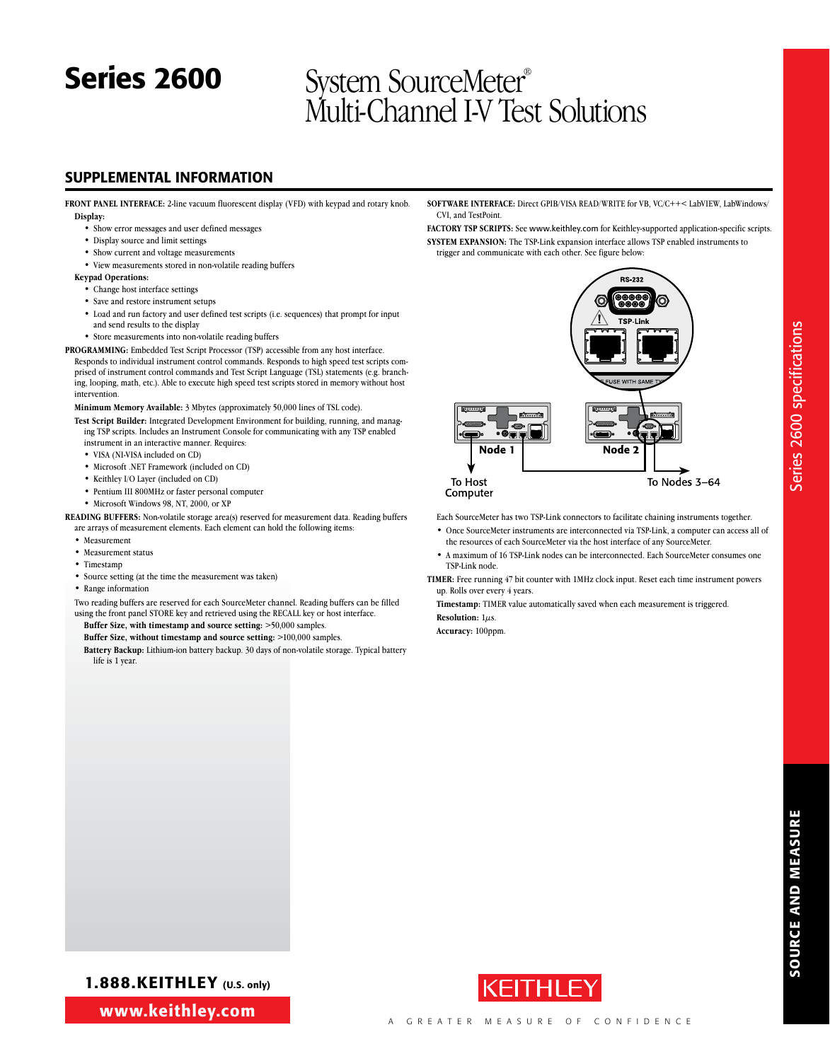#### SUPPLEMENTAL INFORMATION

**FRONT PANEL INTERFACE:** 2-line vacuum fluorescent display (VFD) with keypad and rotary knob. **Display:**

- • Show error messages and user defined messages
- • Display source and limit settings
- • Show current and voltage measurements
- • View measurements stored in non-volatile reading buffers

#### **Keypad Operations:**

- • Change host interface settings
- Save and restore instrument setups
- • Load and run factory and user defined test scripts (i.e. sequences) that prompt for input and send results to the display
- Store measurements into non-volatile reading buffers

**PROGRAMMING:** Embedded Test Script Processor (TSP) accessible from any host interface. Responds to individual instrument control commands. Responds to high speed test scripts comprised of instrument control commands and Test Script Language (TSL) statements (e.g. branching, looping, math, etc.). Able to execute high speed test scripts stored in memory without host intervention.

#### **Minimum Memory Available:** 3 Mbytes (approximately 50,000 lines of TSL code).

- **Test Script Builder:** Integrated Development Environment for building, running, and managing TSP scripts. Includes an Instrument Console for communicating with any TSP enabled
- instrument in an interactive manner. Requires:
- VISA (NI-VISA included on CD)
- • Microsoft .NET Framework (included on CD)
- Keithley I/O Layer (included on CD)
- • Pentium III 800MHz or faster personal computer
- • Microsoft Windows 98, NT, 2000, or XP

**READING BUFFERS:** Non-volatile storage area(s) reserved for measurement data. Reading buffers are arrays of measurement elements. Each element can hold the following items:

- • Measurement
- Measurement status
- Timestamp
- • Source setting (at the time the measurement was taken)
- • Range information

Two reading buffers are reserved for each SourceMeter channel. Reading buffers can be filled using the front panel STORE key and retrieved using the RECALL key or host interface. **Buffer Size, with timestamp and source setting:** >50,000 samples.

#### **Buffer Size, without timestamp and source setting:** >100,000 samples.

**Battery Backup:** Lithium-ion battery backup. 30 days of non-volatile storage. Typical battery life is 1 year.

**Software Interface:** Direct GPIB/VISA READ/WRITE for VB, VC/C++< LabVIEW, LabWindows/ CVI, and TestPoint.

**Factory TSP Scripts:** See www.keithley.com for Keithley-supported application-specific scripts. **SYSTEM EXPANSION:** The TSP-Link expansion interface allows TSP enabled instruments to trigger and communicate with each other. See figure below:



Each SourceMeter has two TSP-Link connectors to facilitate chaining instruments together.

- • Once SourceMeter instruments are interconnected via TSP-Link, a computer can access all of the resources of each SourceMeter via the host interface of any SourceMeter.
- A maximum of 16 TSP-Link nodes can be interconnected. Each SourceMeter consumes one TSP-Link node.
- **TIMER:** Free running 47 bit counter with 1MHz clock input. Reset each time instrument powers up. Rolls over every 4 years.

**Timestamp:** TIMER value automatically saved when each measurement is triggered. **Resolution:** 1µs.

**Accuracy:** 100ppm.

Series 2600 specifications

Series 2600 specifications